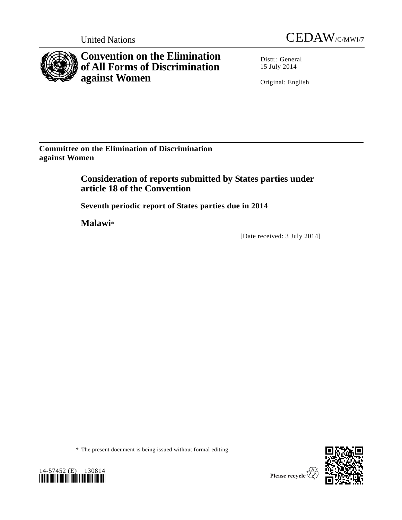



**Convention on the Elimination of All Forms of Discrimination against Women**

Distr.: General 15 July 2014

Original: English

**Committee on the Elimination of Discrimination against Women**

> **Consideration of reports submitted by States parties under article 18 of the Convention**

**Seventh periodic report of States parties due in 2014**

**Malawi**\*

[Date received: 3 July 2014]





<sup>\*</sup> The present document is being issued without formal editing.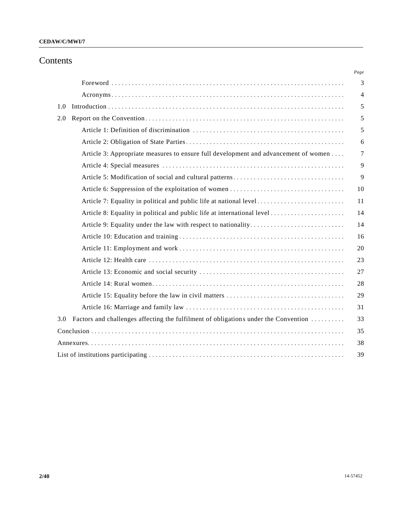# Contents

|     |                                                                                     | Page |
|-----|-------------------------------------------------------------------------------------|------|
|     |                                                                                     | 3    |
|     |                                                                                     | 4    |
| 1.0 |                                                                                     | 5    |
| 2.0 |                                                                                     | 5    |
|     |                                                                                     | 5    |
|     |                                                                                     | 6    |
|     | Article 3: Appropriate measures to ensure full development and advancement of women | 7    |
|     |                                                                                     | 9    |
|     |                                                                                     | 9    |
|     |                                                                                     | 10   |
|     |                                                                                     | 11   |
|     |                                                                                     | 14   |
|     |                                                                                     | 14   |
|     |                                                                                     | 16   |
|     |                                                                                     | 20   |
|     |                                                                                     | 23   |
|     |                                                                                     | 27   |
|     |                                                                                     | 28   |
|     |                                                                                     | 29   |
|     |                                                                                     | 31   |
| 3.0 | Factors and challenges affecting the fulfilment of obligations under the Convention | 33   |
|     |                                                                                     | 35   |
|     |                                                                                     | 38   |
|     |                                                                                     | 39   |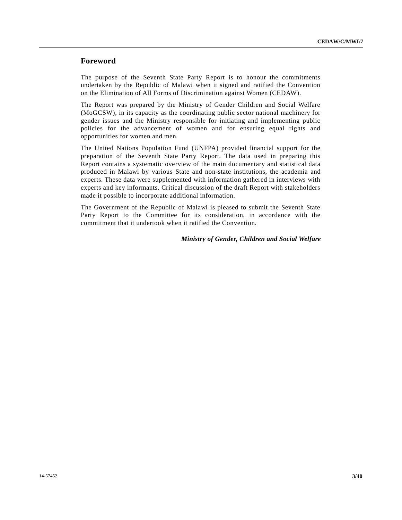## **Foreword**

The purpose of the Seventh State Party Report is to honour the commitments undertaken by the Republic of Malawi when it signed and ratified the Convention on the Elimination of All Forms of Discrimination against Women (CEDAW).

The Report was prepared by the Ministry of Gender Children and Social Welfare (MoGCSW), in its capacity as the coordinating public sector national machinery for gender issues and the Ministry responsible for initiating and implementing public policies for the advancement of women and for ensuring equal rights and opportunities for women and men.

The United Nations Population Fund (UNFPA) provided financial support for the preparation of the Seventh State Party Report. The data used in preparing this Report contains a systematic overview of the main documentary and statistical data produced in Malawi by various State and non-state institutions, the academia and experts. These data were supplemented with information gathered in interviews with experts and key informants. Critical discussion of the draft Report with stakeholders made it possible to incorporate additional information.

The Government of the Republic of Malawi is pleased to submit the Seventh State Party Report to the Committee for its consideration, in accordance with the commitment that it undertook when it ratified the Convention.

### *Ministry of Gender, Children and Social Welfare*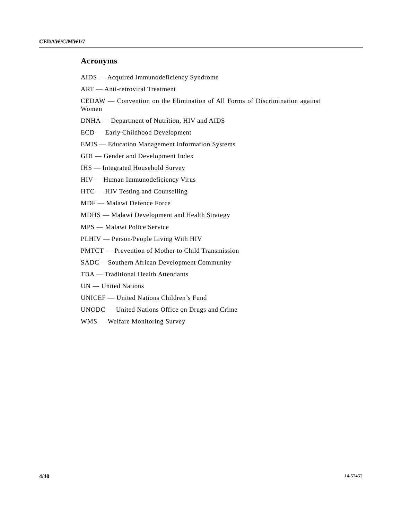# **Acronyms**

AIDS — Acquired Immunodeficiency Syndrome

ART — Anti-retroviral Treatment

CEDAW — Convention on the Elimination of All Forms of Discrimination against Women

DNHA — Department of Nutrition, HIV and AIDS

ECD — Early Childhood Development

EMIS — Education Management Information Systems

GDI — Gender and Development Index

IHS — Integrated Household Survey

HIV — Human Immunodeficiency Virus

HTC — HIV Testing and Counselling

MDF — Malawi Defence Force

MDHS — Malawi Development and Health Strategy

MPS — Malawi Police Service

PLHIV — Person/People Living With HIV

PMTCT — Prevention of Mother to Child Transmission

SADC —Southern African Development Community

TBA — Traditional Health Attendants

UN — United Nations

UNICEF — United Nations Children's Fund

UNODC — United Nations Office on Drugs and Crime

WMS — Welfare Monitoring Survey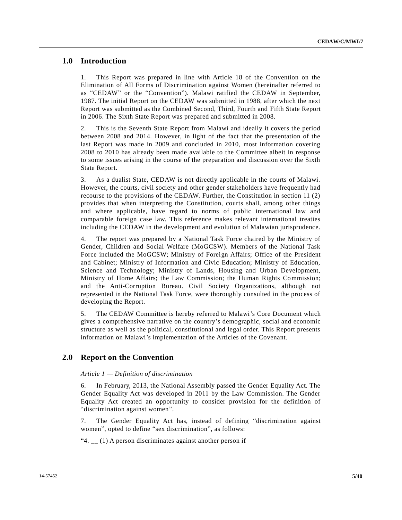# **1.0 Introduction**

1. This Report was prepared in line with Article 18 of the Convention on the Elimination of All Forms of Discrimination against Women (hereinafter referred to as "CEDAW" or the "Convention"). Malawi ratified the CEDAW in September, 1987. The initial Report on the CEDAW was submitted in 1988, after which the next Report was submitted as the Combined Second, Third, Fourth and Fifth State Report in 2006. The Sixth State Report was prepared and submitted in 2008.

2. This is the Seventh State Report from Malawi and ideally it covers the period between 2008 and 2014. However, in light of the fact that the presentation of the last Report was made in 2009 and concluded in 2010, most information covering 2008 to 2010 has already been made available to the Committee albeit in response to some issues arising in the course of the preparation and discussion over the Sixth State Report.

3. As a dualist State, CEDAW is not directly applicable in the courts of Malawi. However, the courts, civil society and other gender stakeholders have frequently had recourse to the provisions of the CEDAW. Further, the Constitution in section 11 (2) provides that when interpreting the Constitution, courts shall, among other things and where applicable, have regard to norms of public international law and comparable foreign case law. This reference makes relevant international treaties including the CEDAW in the development and evolution of Malawian jurisprudence.

4. The report was prepared by a National Task Force chaired by the Ministry of Gender, Children and Social Welfare (MoGCSW). Members of the National Task Force included the MoGCSW; Ministry of Foreign Affairs; Office of the President and Cabinet; Ministry of Information and Civic Education; Ministry of Education, Science and Technology; Ministry of Lands, Housing and Urban Development, Ministry of Home Affairs; the Law Commission; the Human Rights Commission; and the Anti-Corruption Bureau. Civil Society Organizations, although not represented in the National Task Force, were thoroughly consulted in the process of developing the Report.

5. The CEDAW Committee is hereby referred to Malawi's Core Document which gives a comprehensive narrative on the country's demographic, social and economic structure as well as the political, constitutional and legal order. This Report presents information on Malawi's implementation of the Articles of the Covenant.

# **2.0 Report on the Convention**

#### *Article 1 — Definition of discrimination*

6. In February, 2013, the National Assembly passed the Gender Equality Act. The Gender Equality Act was developed in 2011 by the Law Commission. The Gender Equality Act created an opportunity to consider provision for the definition of "discrimination against women".

7. The Gender Equality Act has, instead of defining "discrimination against women", opted to define "sex discrimination", as follows:

"4.  $\angle$  (1) A person discriminates against another person if  $\angle$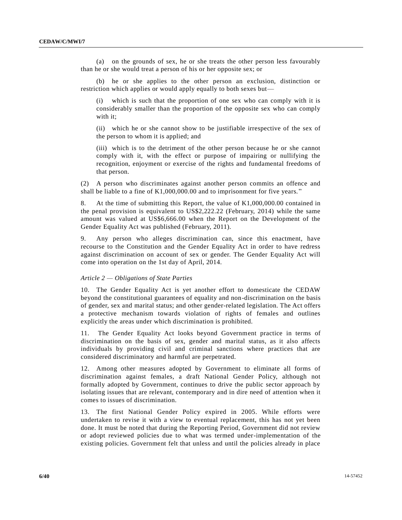(a) on the grounds of sex, he or she treats the other person less favourably than he or she would treat a person of his or her opposite sex; or

(b) he or she applies to the other person an exclusion, distinction or restriction which applies or would apply equally to both sexes but—

(i) which is such that the proportion of one sex who can comply with it is considerably smaller than the proportion of the opposite sex who can comply with it;

(ii) which he or she cannot show to be justifiable irrespective of the sex of the person to whom it is applied; and

(iii) which is to the detriment of the other person because he or she cannot comply with it, with the effect or purpose of impairing or nullifying the recognition, enjoyment or exercise of the rights and fundamental freedoms of that person.

(2) A person who discriminates against another person commits an offence and shall be liable to a fine of K1,000,000.00 and to imprisonment for five years. "

8. At the time of submitting this Report, the value of K1,000,000.00 contained in the penal provision is equivalent to US\$2,222.22 (February, 2014) while the same amount was valued at US\$6,666.00 when the Report on the Development of the Gender Equality Act was published (February, 2011).

9. Any person who alleges discrimination can, since this enactment, have recourse to the Constitution and the Gender Equality Act in order to have redress against discrimination on account of sex or gender. The Gender Equality Act will come into operation on the 1st day of April, 2014.

### *Article 2 — Obligations of State Parties*

10. The Gender Equality Act is yet another effort to domesticate the CEDAW beyond the constitutional guarantees of equality and non-discrimination on the basis of gender, sex and marital status; and other gender-related legislation. The Act offers a protective mechanism towards violation of rights of females and outlines explicitly the areas under which discrimination is prohibited.

11. The Gender Equality Act looks beyond Government practice in terms of discrimination on the basis of sex, gender and marital status, as it also affects individuals by providing civil and criminal sanctions where practices that are considered discriminatory and harmful are perpetrated.

12. Among other measures adopted by Government to eliminate all forms of discrimination against females, a draft National Gender Policy, although not formally adopted by Government, continues to drive the public sector approach by isolating issues that are relevant, contemporary and in dire need of attention when it comes to issues of discrimination.

13. The first National Gender Policy expired in 2005. While efforts were undertaken to revise it with a view to eventual replacement, this has not yet been done. It must be noted that during the Reporting Period, Government did not review or adopt reviewed policies due to what was termed under-implementation of the existing policies. Government felt that unless and until the policies already in place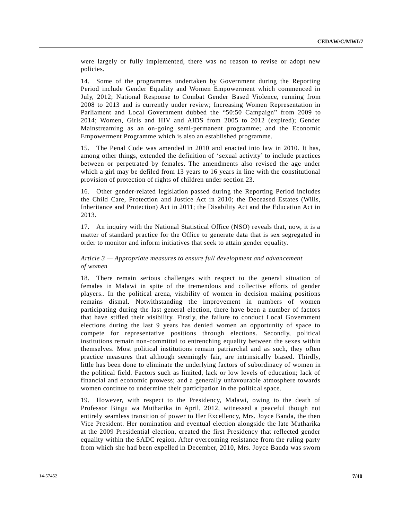were largely or fully implemented, there was no reason to revise or adopt new policies.

14. Some of the programmes undertaken by Government during the Reporting Period include Gender Equality and Women Empowerment which commenced in July, 2012; National Response to Combat Gender Based Violence, running from 2008 to 2013 and is currently under review; Increasing Women Representation in Parliament and Local Government dubbed the "50:50 Campaign" from 2009 to 2014; Women, Girls and HIV and AIDS from 2005 to 2012 (expired); Gender Mainstreaming as an on-going semi-permanent programme; and the Economic Empowerment Programme which is also an established programme.

15. The Penal Code was amended in 2010 and enacted into law in 2010. It has, among other things, extended the definition of 'sexual activity' to include practices between or perpetrated by females. The amendments also revised the age under which a girl may be defiled from 13 years to 16 years in line with the constitutional provision of protection of rights of children under section 23.

16. Other gender-related legislation passed during the Reporting Period includes the Child Care, Protection and Justice Act in 2010; the Deceased Estates (Wills, Inheritance and Protection) Act in 2011; the Disability Act and the Education Act in 2013.

17. An inquiry with the National Statistical Office (NSO) reveals that, now, it is a matter of standard practice for the Office to generate data that is sex segregated in order to monitor and inform initiatives that seek to attain gender equality.

## *Article 3 — Appropriate measures to ensure full development and advancement of women*

18. There remain serious challenges with respect to the general situation of females in Malawi in spite of the tremendous and collective efforts of gender players.. In the political arena, visibility of women in decision making positions remains dismal. Notwithstanding the improvement in numbers of women participating during the last general election, there have been a number of factors that have stifled their visibility. Firstly, the failure to conduct Local Government elections during the last 9 years has denied women an opportunity of space to compete for representative positions through elections. Secondly, political institutions remain non-committal to entrenching equality between the sexes within themselves. Most political institutions remain patriarchal and as such, they often practice measures that although seemingly fair, are intrinsically biased. Thirdly, little has been done to eliminate the underlying factors of subordinacy of women in the political field. Factors such as limited, lack or low levels of education; lack of financial and economic prowess; and a generally unfavourable atmosphere towards women continue to undermine their participation in the politic al space.

19. However, with respect to the Presidency, Malawi, owing to the death of Professor Bingu wa Mutharika in April, 2012, witnessed a peaceful though not entirely seamless transition of power to Her Excellency, Mrs. Joyce Banda, the then Vice President. Her nomination and eventual election alongside the late Mutharika at the 2009 Presidential election, created the first Presidency that reflected gender equality within the SADC region. After overcoming resistance from the ruling party from which she had been expelled in December, 2010, Mrs. Joyce Banda was sworn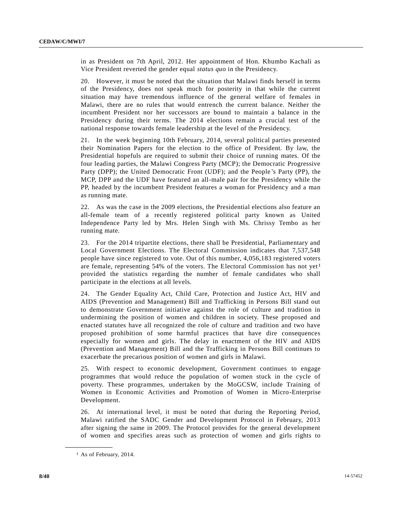in as President on 7th April, 2012. Her appointment of Hon. Khumbo Kachali as Vice President reverted the gender equal *status quo* in the Presidency.

20. However, it must be noted that the situation that Malawi finds herself in terms of the Presidency, does not speak much for posterity in that while the current situation may have tremendous influence of the general welfare of females in Malawi, there are no rules that would entrench the current balance. Neither the incumbent President nor her successors are bound to maintain a balance in the Presidency during their terms. The 2014 elections remain a crucial test of the national response towards female leadership at the level of the Presidency.

21. In the week beginning 10th February, 2014, several political parties presented their Nomination Papers for the election to the office of President. By law, the Presidential hopefuls are required to submit their choice of running mates. Of the four leading parties, the Malawi Congress Party (MCP); the Democratic Progressive Party (DPP); the United Democratic Front (UDF); and the People 's Party (PP), the MCP, DPP and the UDF have featured an all-male pair for the Presidency while the PP, headed by the incumbent President features a woman for Presidency and a man as running mate.

22. As was the case in the 2009 elections, the Presidential elections also feature an all-female team of a recently registered political party known as United Independence Party led by Mrs. Helen Singh with Ms. Chrissy Tembo as her running mate.

23. For the 2014 tripartite elections, there shall be Presidential, Parliamentary and Local Government Elections. The Electoral Commission indicates that 7,537,548 people have since registered to vote. Out of this number, 4,056,183 registered voters are female, representing 54% of the voters. The Electoral Commission has not yet<sup>1</sup> provided the statistics regarding the number of female candidates who shall participate in the elections at all levels.

24. The Gender Equality Act, Child Care, Protection and Justice Act, HIV and AIDS (Prevention and Management) Bill and Trafficking in Persons Bill stand out to demonstrate Government initiative against the role of culture and tradition in undermining the position of women and children in society. These proposed and enacted statutes have all recognized the role of culture and tradition and two have proposed prohibition of some harmful practices that have dire consequences especially for women and girls. The delay in enactment of the HIV and AIDS (Prevention and Management) Bill and the Trafficking in Persons Bill continues to exacerbate the precarious position of women and girls in Malawi.

25. With respect to economic development, Government continues to engage programmes that would reduce the population of women stuck in the cycle of poverty. These programmes, undertaken by the MoGCSW, include Training of Women in Economic Activities and Promotion of Women in Micro-Enterprise Development.

26. At international level, it must be noted that during the Reporting Period, Malawi ratified the SADC Gender and Development Protocol in February, 2013 after signing the same in 2009. The Protocol provides for the general development of women and specifies areas such as protection of women and girls rights to

**\_\_\_\_\_\_\_\_\_\_\_\_\_\_\_\_\_\_**

<sup>1</sup> As of February, 2014.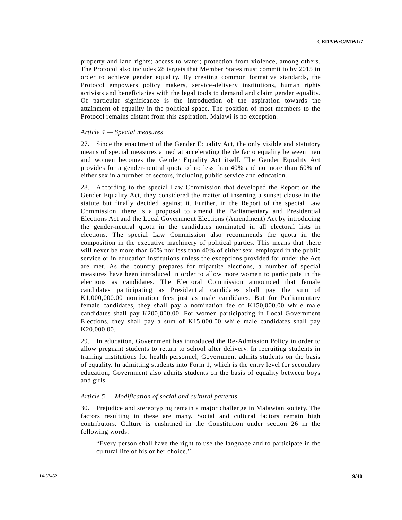property and land rights; access to water; protection from violence, among others. The Protocol also includes 28 targets that Member States must commit to by 2015 in order to achieve gender equality. By creating common formative standards, the Protocol empowers policy makers, service-delivery institutions, human rights activists and beneficiaries with the legal tools to demand and claim gender equality. Of particular significance is the introduction of the aspiration towards the attainment of equality in the political space. The position of most members to the Protocol remains distant from this aspiration. Malawi is no exception.

### *Article 4 — Special measures*

27. Since the enactment of the Gender Equality Act, the only visible and statutory means of special measures aimed at accelerating the de facto equality between men and women becomes the Gender Equality Act itself. The Gender Equality Act provides for a gender-neutral quota of no less than 40% and no more than 60% of either sex in a number of sectors, including public service and education.

28. According to the special Law Commission that developed the Report on the Gender Equality Act, they considered the matter of inserting a sunset clause in the statute but finally decided against it. Further, in the Report of the special Law Commission, there is a proposal to amend the Parliamentary and Presidential Elections Act and the Local Government Elections (Amendment) Act by introducing the gender-neutral quota in the candidates nominated in all electoral lists in elections. The special Law Commission also recommends the quota in the composition in the executive machinery of political parties. This means that there will never be more than 60% nor less than 40% of either sex, employed in the public service or in education institutions unless the exceptions provided for under the Act are met. As the country prepares for tripartite elections, a number of special measures have been introduced in order to allow more women to participate in the elections as candidates. The Electoral Commission announced that female candidates participating as Presidential candidates shall pay the sum of K1,000,000.00 nomination fees just as male candidates. But for Parliamentary female candidates, they shall pay a nomination fee of K150,000.00 while male candidates shall pay K200,000.00. For women participating in Local Government Elections, they shall pay a sum of K15,000.00 while male candidates shall pay K20,000.00.

29. In education, Government has introduced the Re-Admission Policy in order to allow pregnant students to return to school after delivery. In recruiting students in training institutions for health personnel, Government admits students on the basis of equality. In admitting students into Form 1, which is the entry level for secondary education, Government also admits students on the basis of equality between boys and girls.

### *Article 5 — Modification of social and cultural patterns*

30. Prejudice and stereotyping remain a major challenge in Malawian society. The factors resulting in these are many. Social and cultural factors remain high contributors. Culture is enshrined in the Constitution under section 26 in the following words:

"Every person shall have the right to use the language and to participate in the cultural life of his or her choice."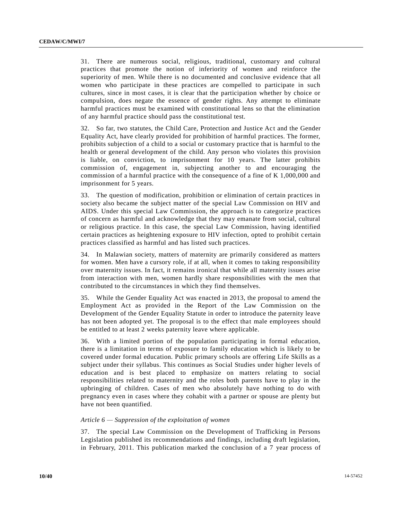31. There are numerous social, religious, traditional, customary and cultural practices that promote the notion of inferiority of women and reinforce the superiority of men. While there is no documented and conclusive evidence that all women who participate in these practices are compelled to participate in such cultures, since in most cases, it is clear that the participation whether by choice or compulsion, does negate the essence of gender rights. Any attempt to eliminate harmful practices must be examined with constitutional lens so that the elimination of any harmful practice should pass the constitutional test.

32. So far, two statutes, the Child Care, Protection and Justice Ac t and the Gender Equality Act, have clearly provided for prohibition of harmful practices. The former, prohibits subjection of a child to a social or customary practice that is harmful to the health or general development of the child. Any person who violates this provision is liable, on conviction, to imprisonment for 10 years. The latter prohibits commission of, engagement in, subjecting another to and encouraging the commission of a harmful practice with the consequence of a fine of K 1,000,000 and imprisonment for 5 years.

33. The question of modification, prohibition or elimination of certain practices in society also became the subject matter of the special Law Commission on HIV and AIDS. Under this special Law Commission, the approach is to categorize practices of concern as harmful and acknowledge that they may emanate from social, cultural or religious practice. In this case, the special Law Commission, having identified certain practices as heightening exposure to HIV infection, opted to prohibit certain practices classified as harmful and has listed such practices.

34. In Malawian society, matters of maternity are primarily considered as matters for women. Men have a cursory role, if at all, when it comes to taking responsibility over maternity issues. In fact, it remains ironical that while all maternity issues arise from interaction with men, women hardly share responsibilities with the men that contributed to the circumstances in which they find themselves.

35. While the Gender Equality Act was enacted in 2013, the proposal to amend the Employment Act as provided in the Report of the Law Commission on the Development of the Gender Equality Statute in order to introduce the paternity leave has not been adopted yet. The proposal is to the effect that male employees should be entitled to at least 2 weeks paternity leave where applicable.

36. With a limited portion of the population participating in formal education, there is a limitation in terms of exposure to family education which is likely to be covered under formal education. Public primary schools are offering Life Skills as a subject under their syllabus. This continues as Social Studies under higher levels of education and is best placed to emphasize on matters relating to social responsibilities related to maternity and the roles both parents have to play in the upbringing of children. Cases of men who absolutely have nothing to do with pregnancy even in cases where they cohabit with a partner or spouse are plenty but have not been quantified.

### *Article 6 — Suppression of the exploitation of women*

37. The special Law Commission on the Development of Trafficking in Persons Legislation published its recommendations and findings, including draft legislation, in February, 2011. This publication marked the conclusion of a 7 year process of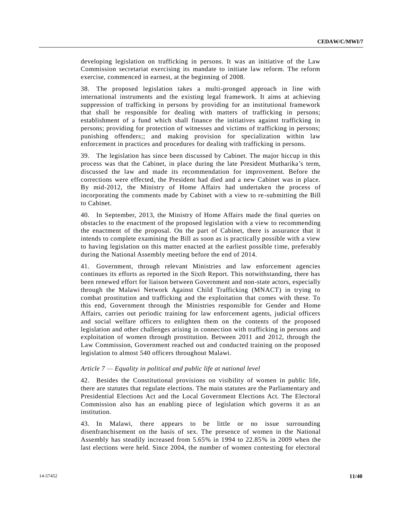developing legislation on trafficking in persons. It was an initiative of the Law Commission secretariat exercising its mandate to initiate law reform. The reform exercise, commenced in earnest, at the beginning of 2008.

38. The proposed legislation takes a multi-pronged approach in line with international instruments and the existing legal framework. It aims at achieving suppression of trafficking in persons by providing for an institutional framework that shall be responsible for dealing with matters of trafficking in persons; establishment of a fund which shall finance the initiatives against trafficking in persons; providing for protection of witnesses and victims of trafficking in persons; punishing offenders;; and making provision for specialization within law enforcement in practices and procedures for dealing with trafficking in persons.

39. The legislation has since been discussed by Cabinet. The major hiccup in this process was that the Cabinet, in place during the late President Mutharika's term, discussed the law and made its recommendation for improvement. Before the corrections were effected, the President had died and a new Cabinet was in place. By mid-2012, the Ministry of Home Affairs had undertaken the process of incorporating the comments made by Cabinet with a view to re -submitting the Bill to Cabinet.

40. In September, 2013, the Ministry of Home Affairs made the final queries on obstacles to the enactment of the proposed legislation with a view to recommending the enactment of the proposal. On the part of Cabinet, there is assurance that it intends to complete examining the Bill as soon as is practically possible with a view to having legislation on this matter enacted at the earliest possible time, preferably during the National Assembly meeting before the end of 2014.

41. Government, through relevant Ministries and law enforcement agencies continues its efforts as reported in the Sixth Report. This notwithstanding, there has been renewed effort for liaison between Government and non-state actors, especially through the Malawi Network Against Child Trafficking (MNACT) in trying to combat prostitution and trafficking and the exploitation that comes with these. To this end, Government through the Ministries responsible for Gender and Home Affairs, carries out periodic training for law enforcement agents, judicial officers and social welfare officers to enlighten them on the contents of the proposed legislation and other challenges arising in connection with trafficking in persons and exploitation of women through prostitution. Between 2011 and 2012, through the Law Commission, Government reached out and conducted training on the proposed legislation to almost 540 officers throughout Malawi.

### *Article 7 — Equality in political and public life at national level*

42. Besides the Constitutional provisions on visibility of women in public life, there are statutes that regulate elections. The main statutes are the Parliamentary and Presidential Elections Act and the Local Government Elections Act. The Electoral Commission also has an enabling piece of legislation which governs it as an institution.

43. In Malawi, there appears to be little or no issue surrounding disenfranchisement on the basis of sex. The presence of women in the National Assembly has steadily increased from 5.65% in 1994 to 22.85% in 2009 when the last elections were held. Since 2004, the number of women contesting for electoral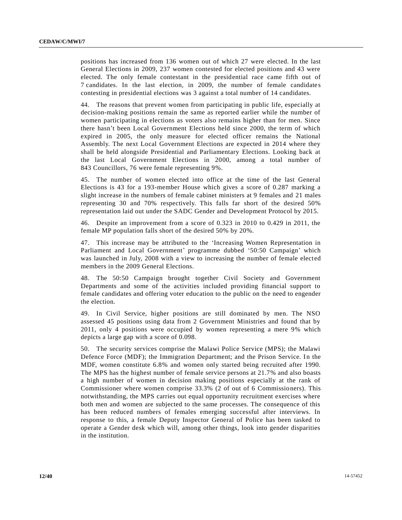positions has increased from 136 women out of which 27 were elected. In the last General Elections in 2009, 237 women contested for elected positions and 43 were elected. The only female contestant in the presidential race came fifth out of 7 candidates. In the last election, in 2009, the number of female candidate s contesting in presidential elections was 3 against a total number of 14 candidates.

44. The reasons that prevent women from participating in public life, especially at decision-making positions remain the same as reported earlier while the number of women participating in elections as voters also remains higher than for men. Since there hasn't been Local Government Elections held since 2000, the term of which expired in 2005, the only measure for elected officer remains the National Assembly. The next Local Government Elections are expected in 2014 where they shall be held alongside Presidential and Parliamentary Elections. Looking back at the last Local Government Elections in 2000, among a total number of 843 Councillors, 76 were female representing 9%.

45. The number of women elected into office at the time of the last General Elections is 43 for a 193-member House which gives a score of 0.287 marking a slight increase in the numbers of female cabinet ministers at 9 females and 21 males representing 30 and 70% respectively. This falls far short of the desired 50% representation laid out under the SADC Gender and Development Protocol by 2015.

46. Despite an improvement from a score of 0.323 in 2010 to 0.429 in 2011, the female MP population falls short of the desired 50% by 20%.

47. This increase may be attributed to the 'Increasing Women Representation in Parliament and Local Government' programme dubbed '50:50 Campaign' which was launched in July, 2008 with a view to increasing the number of female elected members in the 2009 General Elections.

48. The 50:50 Campaign brought together Civil Society and Government Departments and some of the activities included providing financial support to female candidates and offering voter education to the public on the need to engender the election.

49. In Civil Service, higher positions are still dominated by men. The NSO assessed 45 positions using data from 2 Government Ministries and found that by 2011, only 4 positions were occupied by women representing a mere 9% which depicts a large gap with a score of 0.098.

50. The security services comprise the Malawi Police Service (MPS); the Malawi Defence Force (MDF); the Immigration Department; and the Prison Service. In the MDF, women constitute 6.8% and women only started being recruited after 1990. The MPS has the highest number of female service persons at 21.7% and also boasts a high number of women in decision making positions especially at the rank of Commissioner where women comprise 33.3% (2 of out of 6 Commissioners). This notwithstanding, the MPS carries out equal opportunity recruitment exercises where both men and women are subjected to the same processes. The consequence of this has been reduced numbers of females emerging successful after interviews. In response to this, a female Deputy Inspector General of Police has been tasked to operate a Gender desk which will, among other things, look into gender disparities in the institution.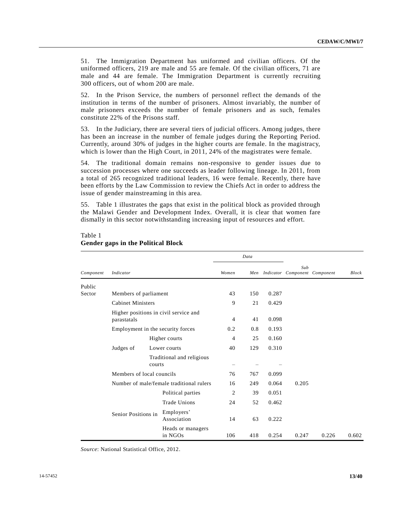51. The Immigration Department has uniformed and civilian officers. Of the uniformed officers, 219 are male and 55 are female. Of the civilian officers, 71 are male and 44 are female. The Immigration Department is currently recruiting 300 officers, out of whom 200 are male.

52. In the Prison Service, the numbers of personnel reflect the demands of the institution in terms of the number of prisoners. Almost invariably, the number of male prisoners exceeds the number of female prisoners and as such, females constitute 22% of the Prisons staff.

53. In the Judiciary, there are several tiers of judicial officers. Among judges, there has been an increase in the number of female judges during the Reporting Period. Currently, around 30% of judges in the higher courts are female. In the magistracy, which is lower than the High Court, in 2011, 24% of the magistrates were female.

54. The traditional domain remains non-responsive to gender issues due to succession processes where one succeeds as leader following lineage. In 2011, from a total of 265 recognized traditional leaders, 16 were female. Recently, there have been efforts by the Law Commission to review the Chiefs Act in order to address the issue of gender mainstreaming in this area.

55. Table 1 illustrates the gaps that exist in the political block as provided through the Malawi Gender and Development Index. Overall, it is clear that women fare dismally in this sector notwithstanding increasing input of resources and effort.

|           |                                          |                                       | Data  |       |       |       |                                   |              |
|-----------|------------------------------------------|---------------------------------------|-------|-------|-------|-------|-----------------------------------|--------------|
| Component | Indicator                                |                                       | Women |       |       | Sub   | Men Indicator Component Component | <b>Block</b> |
| Public    |                                          |                                       |       |       |       |       |                                   |              |
| Sector    | Members of parliament                    |                                       | 43    | 150   | 0.287 |       |                                   |              |
|           | <b>Cabinet Ministers</b>                 | 9                                     | 21    | 0.429 |       |       |                                   |              |
|           | parastatals                              | Higher positions in civil service and | 4     | 41    | 0.098 |       |                                   |              |
|           |                                          | Employment in the security forces     | 0.2   | 0.8   | 0.193 |       |                                   |              |
|           |                                          | Higher courts                         | 4     | 25    | 0.160 |       |                                   |              |
|           | Judges of                                | Lower courts                          | 40    | 129   | 0.310 |       |                                   |              |
|           |                                          | Traditional and religious<br>courts   |       |       |       |       |                                   |              |
|           | Members of local councils                |                                       | 76    | 767   | 0.099 |       |                                   |              |
|           | Number of male/female traditional rulers |                                       | 16    | 249   | 0.064 | 0.205 |                                   |              |
|           |                                          | Political parties                     | 2     | 39    | 0.051 |       |                                   |              |
|           |                                          | <b>Trade Unions</b>                   | 24    | 52    | 0.462 |       |                                   |              |
|           | Senior Positions in                      | Employers'<br>Association             | 14    | 63    | 0.222 |       |                                   |              |
|           |                                          | Heads or managers<br>in NGOs          | 106   | 418   | 0.254 | 0.247 | 0.226                             | 0.602        |

# Table 1 **Gender gaps in the Political Block**

*Source*: National Statistical Office, 2012.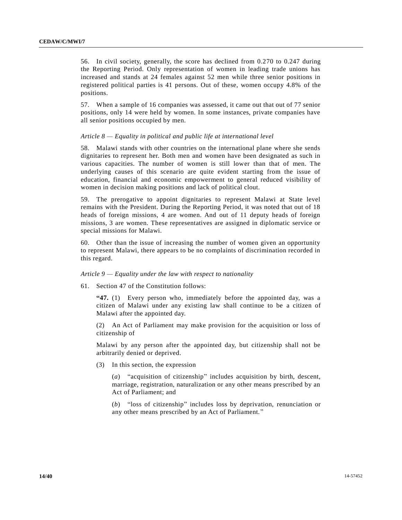56. In civil society, generally, the score has declined from 0.270 to 0.247 during the Reporting Period. Only representation of women in leading trade unions has increased and stands at 24 females against 52 men while three senior positions in registered political parties is 41 persons. Out of these, women occupy 4.8% of the positions.

57. When a sample of 16 companies was assessed, it came out that out of 77 senior positions, only 14 were held by women. In some instances, private companies have all senior positions occupied by men.

### *Article 8 — Equality in political and public life at international level*

58. Malawi stands with other countries on the international plane where she sends dignitaries to represent her. Both men and women have been designated as such in various capacities. The number of women is still lower than that of men. The underlying causes of this scenario are quite evident starting from the issue of education, financial and economic empowerment to general reduced visibility of women in decision making positions and lack of political clout.

59. The prerogative to appoint dignitaries to represent Malawi at State level remains with the President. During the Reporting Period, it was noted that out of 18 heads of foreign missions, 4 are women. And out of 11 deputy heads of foreign missions, 3 are women. These representatives are assigned in diplomatic service or special missions for Malawi.

60. Other than the issue of increasing the number of women given an opportunity to represent Malawi, there appears to be no complaints of discrimination recorded in this regard.

### *Article 9 — Equality under the law with respect to nationality*

61. Section 47 of the Constitution follows:

**"47.** (1) Every person who, immediately before the appointed day, was a citizen of Malawi under any existing law shall continue to be a citizen of Malawi after the appointed day.

(2) An Act of Parliament may make provision for the acquisition or loss of citizenship of

Malawi by any person after the appointed day, but citizenship shall not be arbitrarily denied or deprived.

(3) In this section, the expression

(*a*) "acquisition of citizenship" includes acquisition by birth, descent, marriage, registration, naturalization or any other means prescribed by an Act of Parliament; and

(*b*) "loss of citizenship" includes loss by deprivation, renunciation or any other means prescribed by an Act of Parliament."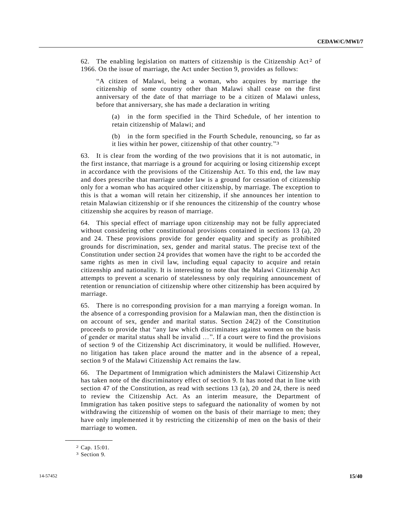62. The enabling legislation on matters of citizenship is the Citizenship Act<sup>2</sup> of 1966. On the issue of marriage, the Act under Section 9, provides as follows:

"A citizen of Malawi, being a woman, who acquires by marriage the citizenship of some country other than Malawi shall cease on the first anniversary of the date of that marriage to be a citizen of Malawi unless, before that anniversary, she has made a declaration in writing

(a) in the form specified in the Third Schedule, of her intention to retain citizenship of Malawi; and

(b) in the form specified in the Fourth Schedule, renouncing, so far as it lies within her power, citizenship of that other country."<sup>3</sup>

63. It is clear from the wording of the two provisions that it is not automatic, in the first instance, that marriage is a ground for acquiring or losing citizenship except in accordance with the provisions of the Citizenship Act. To this end, the law may and does prescribe that marriage under law is a ground for cessation of citizenship only for a woman who has acquired other citizenship, by marriage. The exception to this is that a woman will retain her citizenship, if she announces her intention to retain Malawian citizenship or if she renounces the citizenship of the country whose citizenship she acquires by reason of marriage.

64. This special effect of marriage upon citizenship may not be fully appreciated without considering other constitutional provisions contained in sections 13 (a), 20 and 24. These provisions provide for gender equality and specify as prohibited grounds for discrimination, sex, gender and marital status. The precise text of the Constitution under section 24 provides that women have the right to be ac corded the same rights as men in civil law, including equal capacity to acquire and retain citizenship and nationality. It is interesting to note that the Malawi Citizenship Act attempts to prevent a scenario of statelessness by only requiring announcement of retention or renunciation of citizenship where other citizenship has been acquired by marriage.

65. There is no corresponding provision for a man marrying a foreign woman. In the absence of a corresponding provision for a Malawian man, then the distinction is on account of sex, gender and marital status. Section 24(2) of the Constitution proceeds to provide that "any law which discriminates against women on the basis of gender or marital status shall be invalid …". If a court were to find the provisions of section 9 of the Citizenship Act discriminatory, it would be nullified. However, no litigation has taken place around the matter and in the absence of a repeal, section 9 of the Malawi Citizenship Act remains the law.

66. The Department of Immigration which administers the Malawi Citizenship Act has taken note of the discriminatory effect of section 9. It has noted that in line with section 47 of the Constitution, as read with sections 13 (a), 20 and 24, there is need to review the Citizenship Act. As an interim measure, the Department of Immigration has taken positive steps to safeguard the nationality of women by not withdrawing the citizenship of women on the basis of their marriage to men; they have only implemented it by restricting the citizenship of men on the basis of their marriage to women.

**\_\_\_\_\_\_\_\_\_\_\_\_\_\_\_\_\_\_** 2 Cap. 15:01.

<sup>3</sup> Section 9.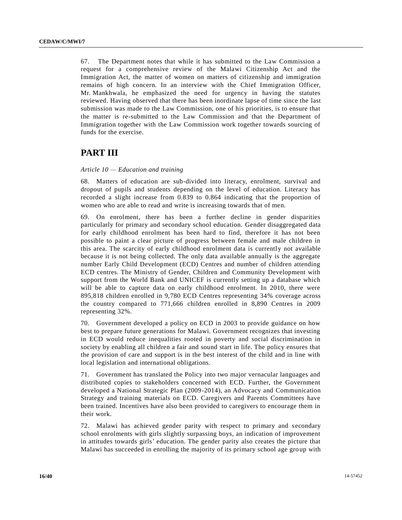67. The Department notes that while it has submitted to the Law Commission a request for a comprehensive review of the Malawi Citizenship Act and the Immigration Act, the matter of women on matters of citizenship and immigration remains of high concern. In an interview with the Chief Immigration Officer, Mr. Mankhwala, he emphasized the need for urgency in having the statutes reviewed. Having observed that there has been inordinate lapse of time since the last submission was made to the Law Commission, one of his priorities, is to ensure that the matter is re-submitted to the Law Commission and that the Department of Immigration together with the Law Commission work together towards sourcing of funds for the exercise.

# **PART III**

### *Article 10 — Education and training*

68. Matters of education are sub-divided into literacy, enrolment, survival and dropout of pupils and students depending on the level of education. Literacy has recorded a slight increase from 0.839 to 0.864 indicating that the proportion of women who are able to read and write is increasing towards that of men.

69. On enrolment, there has been a further decline in gender disparities particularly for primary and secondary school education. Gender disaggregated data for early childhood enrolment has been hard to find, therefore it has not been possible to paint a clear picture of progress between female and male children in this area. The scarcity of early childhood enrolment data is currently not available because it is not being collected. The only data available annually is the aggregate number Early Child Development (ECD) Centres and number of children attending ECD centres. The Ministry of Gender, Children and Community Development with support from the World Bank and UNICEF is currently setting up a database which will be able to capture data on early childhood enrolment. In 2010, there were 895,818 children enrolled in 9,780 ECD Centres representing 34% coverage across the country compared to 771,666 children enrolled in 8,890 Centres in 2009 representing 32%.

70. Government developed a policy on ECD in 2003 to provide guidance on how best to prepare future generations for Malawi. Government recognizes that investing in ECD would reduce inequalities rooted in poverty and social discrimination in society by enabling all children a fair and sound start in life. The policy ensures that the provision of care and support is in the best interest of the child and in line with local legislation and international obligations.

71. Government has translated the Policy into two major vernacular languages and distributed copies to stakeholders concerned with ECD. Further, the Government developed a National Strategic Plan (2009-2014), an Advocacy and Communication Strategy and training materials on ECD. Caregivers and Parents Committees have been trained. Incentives have also been provided to caregivers to encourage them in their work.

72. Malawi has achieved gender parity with respect to primary and secondary school enrolments with girls slightly surpassing boys, an indication of improvement in attitudes towards girls' education. The gender parity also creates the picture that Malawi has succeeded in enrolling the majority of its primary school age group with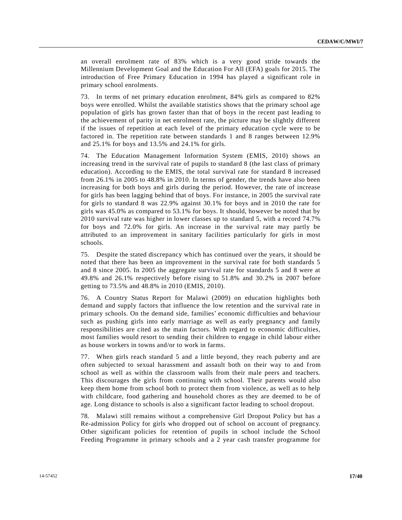an overall enrolment rate of 83% which is a very good stride towards the Millennium Development Goal and the Education For All (EFA) goals for 2015. The introduction of Free Primary Education in 1994 has played a significant role in primary school enrolments.

73. In terms of net primary education enrolment, 84% girls as compared to 82% boys were enrolled. Whilst the available statistics shows that the primary school age population of girls has grown faster than that of boys in the recent past leading to the achievement of parity in net enrolment rate, the picture may be slightly different if the issues of repetition at each level of the primary education cycle were to be factored in. The repetition rate between standards 1 and 8 ranges between 12.9% and 25.1% for boys and 13.5% and 24.1% for girls.

74. The Education Management Information System (EMIS, 2010) shows an increasing trend in the survival rate of pupils to standard 8 (the last class of primary education). According to the EMIS, the total survival rate for standard 8 increased from 26.1% in 2005 to 48.8% in 2010. In terms of gender, the trends have also been increasing for both boys and girls during the period. However, the rate of increase for girls has been lagging behind that of boys. For instance, in 2005 the survival rate for girls to standard 8 was 22.9% against 30.1% for boys and in 2010 the rate for girls was 45.0% as compared to 53.1% for boys. It should, however be noted that by 2010 survival rate was higher in lower classes up to standard 5, with a record 74.7% for boys and 72.0% for girls. An increase in the survival rate may partly be attributed to an improvement in sanitary facilities particularly for girls in most schools.

75. Despite the stated discrepancy which has continued over the years, it should be noted that there has been an improvement in the survival rate for both standards 5 and 8 since 2005. In 2005 the aggregate survival rate for standards 5 and 8 were at 49.8% and 26.1% respectively before rising to 51.8% and 30.2% in 2007 before getting to 73.5% and 48.8% in 2010 (EMIS, 2010).

76. A Country Status Report for Malawi (2009) on education highlights both demand and supply factors that influence the low retention and the survival rate in primary schools. On the demand side, families' economic difficulties and behaviour such as pushing girls into early marriage as well as early pregnancy and family responsibilities are cited as the main factors. With regard to economic difficulties, most families would resort to sending their children to engage in child labour either as house workers in towns and/or to work in farms.

77. When girls reach standard 5 and a little beyond, they reach puberty and are often subjected to sexual harassment and assault both on their way to and from school as well as within the classroom walls from their male peers and teachers. This discourages the girls from continuing with school. Their parents would also keep them home from school both to protect them from violence, as well as to help with childcare, food gathering and household chores as they are deemed to be of age. Long distance to schools is also a significant factor leading to school dropout.

78. Malawi still remains without a comprehensive Girl Dropout Policy but has a Re-admission Policy for girls who dropped out of school on account of pregnancy. Other significant policies for retention of pupils in school include the School Feeding Programme in primary schools and a 2 year cash transfer programme for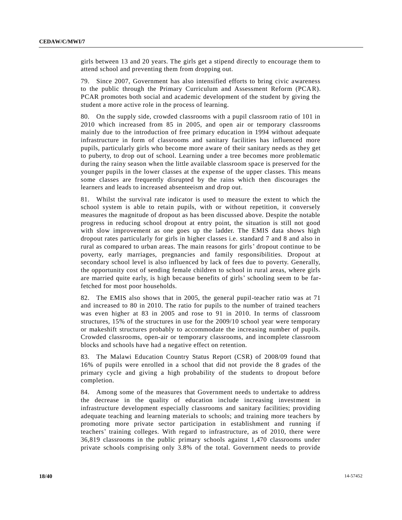girls between 13 and 20 years. The girls get a stipend directly to encourage them to attend school and preventing them from dropping out.

79. Since 2007, Government has also intensified efforts to bring civic awareness to the public through the Primary Curriculum and Assessment Reform (PCAR). PCAR promotes both social and academic development of the student by giving the student a more active role in the process of learning.

80. On the supply side, crowded classrooms with a pupil classroom ratio of 101 in 2010 which increased from 85 in 2005, and open air or temporary classrooms mainly due to the introduction of free primary education in 1994 without adequate infrastructure in form of classrooms and sanitary facilities has influenced more pupils, particularly girls who become more aware of their sanitary needs as they get to puberty, to drop out of school. Learning under a tree becomes more problematic during the rainy season when the little available classroom space is preserved for the younger pupils in the lower classes at the expense of the upper classes. This means some classes are frequently disrupted by the rains which then discourages the learners and leads to increased absenteeism and drop out.

81. Whilst the survival rate indicator is used to measure the extent to which the school system is able to retain pupils, with or without repetition, it conversely measures the magnitude of dropout as has been discussed above. Despite the notable progress in reducing school dropout at entry point, the situation is still not good with slow improvement as one goes up the ladder. The EMIS data shows high dropout rates particularly for girls in higher classes i.e. standard 7 and 8 and also in rural as compared to urban areas. The main reasons for girls' dropout continue to be poverty, early marriages, pregnancies and family responsibilities. Dropout at secondary school level is also influenced by lack of fees due to poverty. Generally, the opportunity cost of sending female children to school in rural areas, where girls are married quite early, is high because benefits of girls' schooling seem to be farfetched for most poor households.

82. The EMIS also shows that in 2005, the general pupil-teacher ratio was at 71 and increased to 80 in 2010. The ratio for pupils to the number of trained teachers was even higher at 83 in 2005 and rose to 91 in 2010. In terms of classroom structures, 15% of the structures in use for the 2009/10 school year were temporary or makeshift structures probably to accommodate the increasing number of pupils. Crowded classrooms, open-air or temporary classrooms, and incomplete classroom blocks and schools have had a negative effect on retention.

83. The Malawi Education Country Status Report (CSR) of 2008/09 found that 16% of pupils were enrolled in a school that did not provide the 8 grades of the primary cycle and giving a high probability of the students to dropout before completion.

84. Among some of the measures that Government needs to undertake to address the decrease in the quality of education include increasing investment in infrastructure development especially classrooms and sanitary facilities; providing adequate teaching and learning materials to schools; and training more teachers by promoting more private sector participation in establishment and running if teachers' training colleges. With regard to infrastructure, as of 2010, there were 36,819 classrooms in the public primary schools against 1,470 classrooms under private schools comprising only 3.8% of the total. Government needs to provide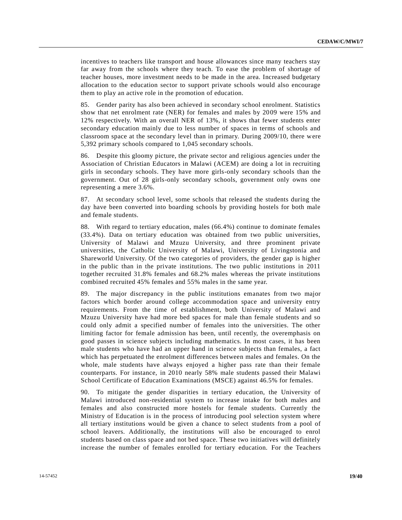incentives to teachers like transport and house allowances since many teachers stay far away from the schools where they teach. To ease the problem of shortage of teacher houses, more investment needs to be made in the area. Increased budgetary allocation to the education sector to support private schools would also encourage them to play an active role in the promotion of education.

85. Gender parity has also been achieved in secondary school enrolment. Statistics show that net enrolment rate (NER) for females and males by 2009 were 15% and 12% respectively. With an overall NER of 13%, it shows that fewer students enter secondary education mainly due to less number of spaces in terms of schools and classroom space at the secondary level than in primary. During 2009/10, there were 5,392 primary schools compared to 1,045 secondary schools.

86. Despite this gloomy picture, the private sector and religious agencies under the Association of Christian Educators in Malawi (ACEM) are doing a lot in recruiting girls in secondary schools. They have more girls-only secondary schools than the government. Out of 28 girls-only secondary schools, government only owns one representing a mere 3.6%.

87. At secondary school level, some schools that released the students during the day have been converted into boarding schools by providing hostels for both male and female students.

88. With regard to tertiary education, males (66.4%) continue to dominate females (33.4%). Data on tertiary education was obtained from two public universities, University of Malawi and Mzuzu University, and three prominent private universities, the Catholic University of Malawi, University of Livingstonia and Shareworld University. Of the two categories of providers, the gender gap is higher in the public than in the private institutions. The two public institutions in 2011 together recruited 31.8% females and 68.2% males whereas the private institutions combined recruited 45% females and 55% males in the same year.

89. The major discrepancy in the public institutions emanates from two major factors which border around college accommodation space and university entry requirements. From the time of establishment, both University of Malawi and Mzuzu University have had more bed spaces for male than female students and so could only admit a specified number of females into the universities. The other limiting factor for female admission has been, until recently, the overemphasis on good passes in science subjects including mathematics. In most cases, it has been male students who have had an upper hand in science subjects than females, a fact which has perpetuated the enrolment differences between males and females. On the whole, male students have always enjoyed a higher pass rate than their female counterparts. For instance, in 2010 nearly 58% male students passed their Malawi School Certificate of Education Examinations (MSCE) against 46.5% for females.

90. To mitigate the gender disparities in tertiary education, the University of Malawi introduced non-residential system to increase intake for both males and females and also constructed more hostels for female students. Currently the Ministry of Education is in the process of introducing pool selection system where all tertiary institutions would be given a chance to select students from a pool of school leavers. Additionally, the institutions will also be encouraged to enrol students based on class space and not bed space. These two initiatives will definitely increase the number of females enrolled for tertiary education. For the Teachers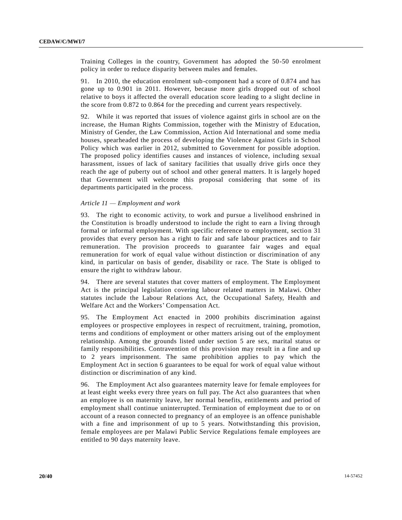Training Colleges in the country, Government has adopted the 50-50 enrolment policy in order to reduce disparity between males and females.

91. In 2010, the education enrolment sub-component had a score of 0.874 and has gone up to 0.901 in 2011. However, because more girls dropped out of school relative to boys it affected the overall education score leading to a slight decline in the score from 0.872 to 0.864 for the preceding and current years respectively.

92. While it was reported that issues of violence against girls in school are on the increase, the Human Rights Commission, together with the Ministry of Education, Ministry of Gender, the Law Commission, Action Aid International and some media houses, spearheaded the process of developing the Violence Against Girls in School Policy which was earlier in 2012, submitted to Government for possible adoption. The proposed policy identifies causes and instances of violence, including sexual harassment, issues of lack of sanitary facilities that usually drive girls once they reach the age of puberty out of school and other general matters. It is largely hoped that Government will welcome this proposal considering that some of its departments participated in the process.

### *Article 11 — Employment and work*

93. The right to economic activity, to work and pursue a livelihood enshrined in the Constitution is broadly understood to include the right to earn a living through formal or informal employment. With specific reference to employment, section 31 provides that every person has a right to fair and safe labour practices and to fair remuneration. The provision proceeds to guarantee fair wages and equal remuneration for work of equal value without distinction or discrimination of any kind, in particular on basis of gender, disability or race. The State is obliged to ensure the right to withdraw labour.

94. There are several statutes that cover matters of employment. The Employment Act is the principal legislation covering labour related matters in Malawi. Other statutes include the Labour Relations Act, the Occupational Safety, Health and Welfare Act and the Workers' Compensation Act.

95. The Employment Act enacted in 2000 prohibits discrimination against employees or prospective employees in respect of recruitment, training, promotion, terms and conditions of employment or other matters arising out of the employment relationship. Among the grounds listed under section 5 are sex, marital status or family responsibilities. Contravention of this provision may result in a fine and up to 2 years imprisonment. The same prohibition applies to pay which the Employment Act in section 6 guarantees to be equal for work of equal value without distinction or discrimination of any kind.

96. The Employment Act also guarantees maternity leave for female employees for at least eight weeks every three years on full pay. The Act also guarantees that when an employee is on maternity leave, her normal benefits, entitlements and period of employment shall continue uninterrupted. Termination of employment due to or on account of a reason connected to pregnancy of an employee is an offence punishable with a fine and imprisonment of up to 5 years. Notwithstanding this provision, female employees are per Malawi Public Service Regulations female employees are entitled to 90 days maternity leave.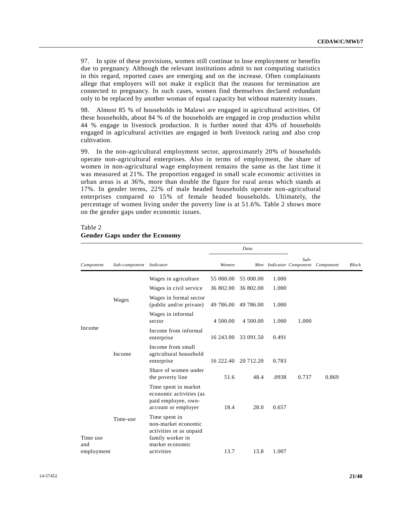97. In spite of these provisions, women still continue to lose employment or benefits due to pregnancy. Although the relevant institutions admit to not computing statistics in this regard, reported cases are emerging and on the increase. Often complainants allege that employers will not make it explicit that the reasons for termination are connected to pregnancy. In such cases, women find themselves declared redundant only to be replaced by another woman of equal capacity but without maternity issues.

98. Almost 85 % of households in Malawi are engaged in agricultural activities. Of these households, about 84 % of the households are engaged in crop production whilst 44 % engage in livestock production. It is further noted that 43% of households engaged in agricultural activities are engaged in both livestock raring and also crop cultivation.

99. In the non-agricultural employment sector, approximately 20% of households operate non-agricultural enterprises. Also in terms of employment, the share of women in non-agricultural wage employment remains the same as the last time it was measured at 21%. The proportion engaged in small scale economic activities in urban areas is at 36%, more than double the figure for rural areas which stands at 17%. In gender terms, 22% of male headed households operate non-agricultural enterprises compared to 15% of female headed households. Ultimately, the percentage of women living under the poverty line is at 51.6%. Table 2 shows more on the gender gaps under economic issues.

## Table 2 **Gender Gaps under the Economy**

|                 |                         |                                                                                                        |           | Data      |       |                                   |           |       |
|-----------------|-------------------------|--------------------------------------------------------------------------------------------------------|-----------|-----------|-------|-----------------------------------|-----------|-------|
| Component       | Sub-component Indicator |                                                                                                        | Women     |           |       | $Sub-$<br>Men Indicator Component | Component | Block |
|                 |                         | Wages in agriculture                                                                                   | 55 000.00 | 55 000.00 | 1.000 |                                   |           |       |
|                 |                         | Wages in civil service                                                                                 | 36 802.00 | 36 802.00 | 1.000 |                                   |           |       |
|                 | Wages                   | Wages in formal sector<br>(public and/or private)                                                      | 49 786.00 | 49 786.00 | 1.000 |                                   |           |       |
|                 |                         | Wages in informal<br>sector                                                                            | 4 500.00  | 4 500.00  | 1.000 | 1.000                             |           |       |
| Income          |                         | Income from informal<br>enterprise                                                                     | 16 243.00 | 33 091.50 | 0.491 |                                   |           |       |
|                 | Income                  | Income from small<br>agricultural household<br>enterprise                                              | 16 222.40 | 20 712.20 | 0.783 |                                   |           |       |
|                 |                         | Share of women under<br>the poverty line                                                               | 51.6      | 48.4      | .0938 | 0.737                             | 0.869     |       |
|                 |                         | Time spent in market<br>economic activities (as<br>paid employee, own-<br>account or employer          | 18.4      | 28.0      | 0.657 |                                   |           |       |
| Time use<br>and | Time-use                | Time spent in<br>non-market economic<br>activities or as unpaid<br>family worker in<br>market economic |           |           |       |                                   |           |       |
| employment      |                         | activities                                                                                             | 13.7      | 13.8      | 1.007 |                                   |           |       |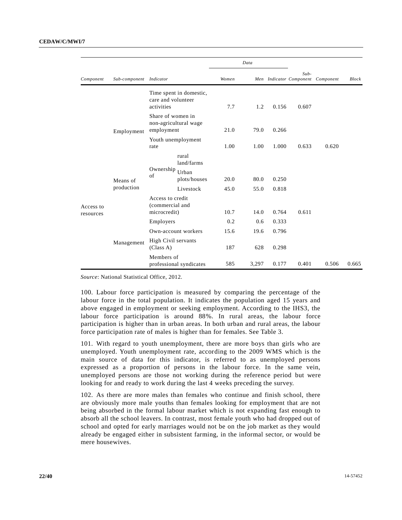|           |                         |                                                     |                              |       | Data  |       |        |                                   |              |
|-----------|-------------------------|-----------------------------------------------------|------------------------------|-------|-------|-------|--------|-----------------------------------|--------------|
| Component | Sub-component Indicator |                                                     |                              | Women |       |       | $Sub-$ | Men Indicator Component Component | <b>Block</b> |
|           |                         | care and volunteer<br>activities                    | Time spent in domestic,      | 7.7   | 1.2   | 0.156 | 0.607  |                                   |              |
|           | Employment              | Share of women in<br>employment                     | non-agricultural wage        | 21.0  | 79.0  | 0.266 |        |                                   |              |
|           |                         | rate                                                | Youth unemployment           | 1.00  | 1.00  | 1.000 | 0.633  | 0.620                             |              |
|           |                         | Ownership                                           | rural<br>land/farms<br>Urban |       |       |       |        |                                   |              |
|           | Means of                | of                                                  | plots/houses                 | 20.0  | 80.0  | 0.250 |        |                                   |              |
|           | production              |                                                     | Livestock                    | 45.0  | 55.0  | 0.818 |        |                                   |              |
| Access to |                         | Access to credit<br>(commercial and<br>microcredit) |                              | 10.7  | 14.0  | 0.764 | 0.611  |                                   |              |
| resources |                         | Employers                                           |                              | 0.2   | 0.6   | 0.333 |        |                                   |              |
|           | Management              |                                                     | Own-account workers          | 15.6  | 19.6  | 0.796 |        |                                   |              |
|           |                         | High Civil servants<br>(Class A)                    |                              | 187   | 628   | 0.298 |        |                                   |              |
|           |                         | Members of                                          | professional syndicates      | 585   | 3,297 | 0.177 | 0.401  | 0.506                             | 0.665        |

*Source*: National Statistical Office, 2012.

100. Labour force participation is measured by comparing the percentage of the labour force in the total population. It indicates the population aged 15 years and above engaged in employment or seeking employment. According to the IHS3, the labour force participation is around 88%. In rural areas, the labour force participation is higher than in urban areas. In both urban and rural areas, the labour force participation rate of males is higher than for females. See Table 3.

101. With regard to youth unemployment, there are more boys than girls who are unemployed. Youth unemployment rate, according to the 2009 WMS which is the main source of data for this indicator, is referred to as unemployed persons expressed as a proportion of persons in the labour force. In the same vein, unemployed persons are those not working during the reference period but were looking for and ready to work during the last 4 weeks preceding the survey.

102. As there are more males than females who continue and finish school, there are obviously more male youths than females looking for employment that are not being absorbed in the formal labour market which is not expanding fast enough to absorb all the school leavers. In contrast, most female youth who had dropped out of school and opted for early marriages would not be on the job market as they would already be engaged either in subsistent farming, in the informal sector, or would be mere housewives.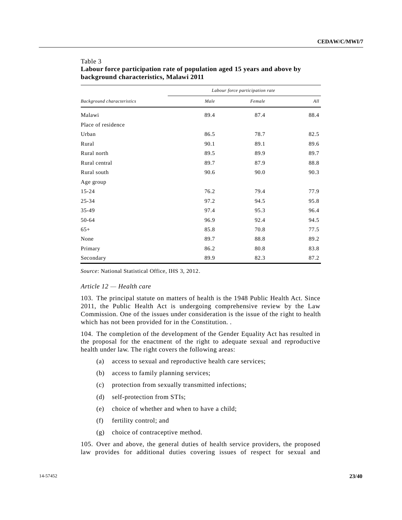|                            |      | Labour force participation rate |      |
|----------------------------|------|---------------------------------|------|
| Background characteristics | Male | Female                          | All  |
| Malawi                     | 89.4 | 87.4                            | 88.4 |
| Place of residence         |      |                                 |      |
| Urban                      | 86.5 | 78.7                            | 82.5 |
| Rural                      | 90.1 | 89.1                            | 89.6 |
| Rural north                | 89.5 | 89.9                            | 89.7 |
| Rural central              | 89.7 | 87.9                            | 88.8 |
| Rural south                | 90.6 | 90.0                            | 90.3 |
| Age group                  |      |                                 |      |
| $15 - 24$                  | 76.2 | 79.4                            | 77.9 |
| $25 - 34$                  | 97.2 | 94.5                            | 95.8 |
| 35-49                      | 97.4 | 95.3                            | 96.4 |
| 50-64                      | 96.9 | 92.4                            | 94.5 |
| $65+$                      | 85.8 | 70.8                            | 77.5 |
| None                       | 89.7 | 88.8                            | 89.2 |
| Primary                    | 86.2 | 80.8                            | 83.8 |
| Secondary                  | 89.9 | 82.3                            | 87.2 |

# **Labour force participation rate of population aged 15 years and above by background characteristics, Malawi 2011**

*Source*: National Statistical Office, IHS 3, 2012.

### *Article 12 — Health care*

Table 3

103. The principal statute on matters of health is the 1948 Public Health Act. Since 2011, the Public Health Act is undergoing comprehensive review by the Law Commission. One of the issues under consideration is the issue of the right to health which has not been provided for in the Constitution. .

104. The completion of the development of the Gender Equality Act has resulted in the proposal for the enactment of the right to adequate sexual and reproductive health under law. The right covers the following areas:

- (a) access to sexual and reproductive health care services;
- (b) access to family planning services;
- (c) protection from sexually transmitted infections;
- (d) self-protection from STIs;
- (e) choice of whether and when to have a child;
- (f) fertility control; and
- (g) choice of contraceptive method.

105. Over and above, the general duties of health service providers, the proposed law provides for additional duties covering issues of respect for sexual and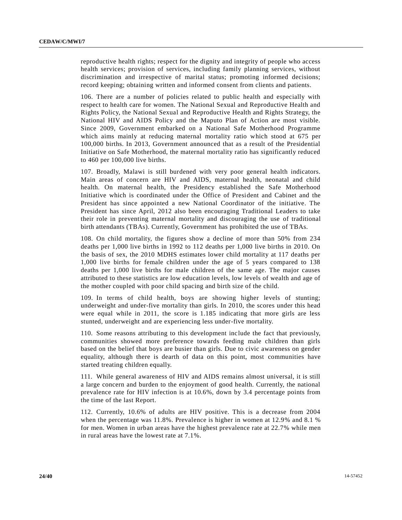reproductive health rights; respect for the dignity and integrity of people who access health services; provision of services, including family planning services, without discrimination and irrespective of marital status; promoting informed decisions; record keeping; obtaining written and informed consent from clients and patients.

106. There are a number of policies related to public health and especially with respect to health care for women. The National Sexual and Reproductive Health and Rights Policy, the National Sexual and Reproductive Health and Rights Strategy, the National HIV and AIDS Policy and the Maputo Plan of Action are most visible. Since 2009, Government embarked on a National Safe Motherhood Programme which aims mainly at reducing maternal mortality ratio which stood at 675 per 100,000 births. In 2013, Government announced that as a result of the Presidential Initiative on Safe Motherhood, the maternal mortality ratio has significantly reduced to 460 per 100,000 live births.

107. Broadly, Malawi is still burdened with very poor general health indicators. Main areas of concern are HIV and AIDS, maternal health, neonatal and child health. On maternal health, the Presidency established the Safe Motherhood Initiative which is coordinated under the Office of President and Cabinet and the President has since appointed a new National Coordinator of the initiative. The President has since April, 2012 also been encouraging Traditional Leaders to take their role in preventing maternal mortality and discouraging the use of traditional birth attendants (TBAs). Currently, Government has prohibited the use of TBAs.

108. On child mortality, the figures show a decline of more than 50% from 234 deaths per 1,000 live births in 1992 to 112 deaths per 1,000 live births in 2010. On the basis of sex, the 2010 MDHS estimates lower child mortality at 117 deaths per 1,000 live births for female children under the age of 5 years compared to 138 deaths per 1,000 live births for male children of the same age. The major causes attributed to these statistics are low education levels, low levels of wealth and age of the mother coupled with poor child spacing and birth size of the child.

109. In terms of child health, boys are showing higher levels of stunting; underweight and under-five mortality than girls. In 2010, the scores under this head were equal while in 2011, the score is 1.185 indicating that more girls are less stunted, underweight and are experiencing less under-five mortality.

110. Some reasons attributing to this development include the fact that previously, communities showed more preference towards feeding male children than girls based on the belief that boys are busier than girls. Due to civic awareness on gender equality, although there is dearth of data on this point, most communities have started treating children equally.

111. While general awareness of HIV and AIDS remains almost universal, it is still a large concern and burden to the enjoyment of good health. Currently, the national prevalence rate for HIV infection is at 10.6%, down by 3.4 percentage points from the time of the last Report.

112. Currently, 10.6% of adults are HIV positive. This is a decrease from 2004 when the percentage was 11.8%. Prevalence is higher in women at 12.9% and 8.1 % for men. Women in urban areas have the highest prevalence rate at 22.7% while men in rural areas have the lowest rate at 7.1%.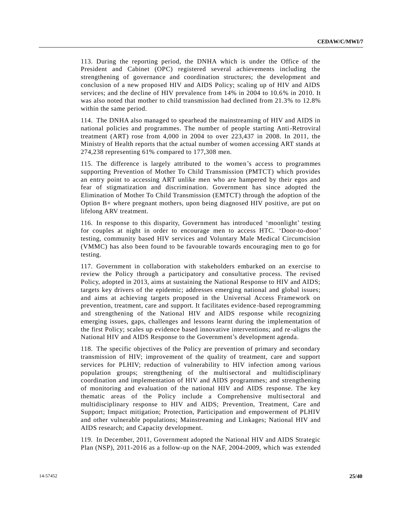113. During the reporting period, the DNHA which is under the Office of the President and Cabinet (OPC) registered several achievements including the strengthening of governance and coordination structures; the development and conclusion of a new proposed HIV and AIDS Policy; scaling up of HIV and AIDS services; and the decline of HIV prevalence from 14% in 2004 to 10.6% in 2010. It was also noted that mother to child transmission had declined from 21.3% to 12.8% within the same period.

114. The DNHA also managed to spearhead the mainstreaming of HIV and AIDS in national policies and programmes. The number of people starting Anti-Retroviral treatment (ART) rose from 4,000 in 2004 to over 223,437 in 2008. In 2011, the Ministry of Health reports that the actual number of women accessing ART stands at 274,238 representing 61% compared to 177,308 men.

115. The difference is largely attributed to the women's access to programmes supporting Prevention of Mother To Child Transmission (PMTCT) which provides an entry point to accessing ART unlike men who are hampered by their egos and fear of stigmatization and discrimination. Government has since adopted the Elimination of Mother To Child Transmission (EMTCT) through the adoption of the Option B+ where pregnant mothers, upon being diagnosed HIV positive, are put on lifelong ARV treatment.

116. In response to this disparity, Government has introduced 'moonlight' testing for couples at night in order to encourage men to access HTC. 'Door-to-door' testing, community based HIV services and Voluntary Male Medical Circumcision (VMMC) has also been found to be favourable towards encouraging men to go for testing.

117. Government in collaboration with stakeholders embarked on an exercise to review the Policy through a participatory and consultative process. The revised Policy, adopted in 2013, aims at sustaining the National Response to HIV and AIDS; targets key drivers of the epidemic; addresses emerging national and global issues; and aims at achieving targets proposed in the Universal Access Framework on prevention, treatment, care and support. It facilitates evidence -based reprogramming and strengthening of the National HIV and AIDS response while recognizing emerging issues, gaps, challenges and lessons learnt during the implementation of the first Policy; scales up evidence based innovative interventions; and re -aligns the National HIV and AIDS Response to the Government's development agenda.

118. The specific objectives of the Policy are prevention of primary and secondary transmission of HIV; improvement of the quality of treatment, care and support services for PLHIV; reduction of vulnerability to HIV infection among various population groups; strengthening of the multisectoral and multidisciplinary coordination and implementation of HIV and AIDS programmes; and strengthening of monitoring and evaluation of the national HIV and AIDS response. The key thematic areas of the Policy include a Comprehensive multisectoral and multidisciplinary response to HIV and AIDS; Prevention, Treatment, Care and Support; Impact mitigation; Protection, Participation and empowerment of PLHIV and other vulnerable populations; Mainstreaming and Linkages; National HIV and AIDS research; and Capacity development.

119. In December, 2011, Government adopted the National HIV and AIDS Strategic Plan (NSP), 2011-2016 as a follow-up on the NAF, 2004-2009, which was extended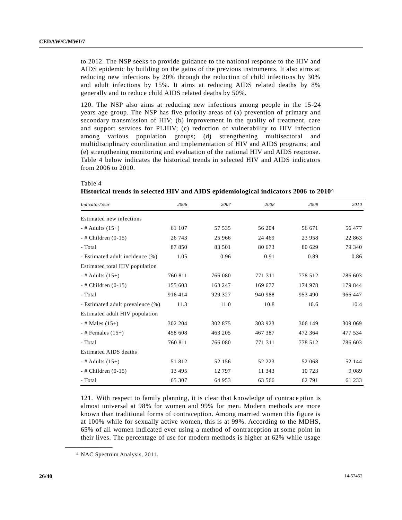to 2012. The NSP seeks to provide guidance to the national response to the HIV and AIDS epidemic by building on the gains of the previous instruments. It also aims at reducing new infections by 20% through the reduction of child infections by 30% and adult infections by 15%. It aims at reducing AIDS related deaths by 8% generally and to reduce child AIDS related deaths by 50%.

120. The NSP also aims at reducing new infections among people in the 15-24 years age group. The NSP has five priority areas of (a) prevention of primary and secondary transmission of HIV; (b) improvement in the quality of treatment, care and support services for PLHIV; (c) reduction of vulnerability to HIV infection among various population groups; (d) strengthening multisectoral and multidisciplinary coordination and implementation of HIV and AIDS programs; and (e) strengthening monitoring and evaluation of the national HIV and AIDS response. Table 4 below indicates the historical trends in selected HIV and AIDS indicators from 2006 to 2010.

#### Table 4

**Historical trends in selected HIV and AIDS epidemiological indicators 2006 to 2010**4

| Indicator/Year                   | 2006    | 2007    | 2008    | 2009    | 2010    |
|----------------------------------|---------|---------|---------|---------|---------|
| Estimated new infections         |         |         |         |         |         |
| $-$ # Adults (15+)               | 61 107  | 57 535  | 56 204  | 56 671  | 56 477  |
| $-$ # Children (0-15)            | 26 743  | 25 966  | 24 4 69 | 23 958  | 22 863  |
| - Total                          | 87 850  | 83 501  | 80 673  | 80 629  | 79 340  |
| - Estimated adult incidence (%)  | 1.05    | 0.96    | 0.91    | 0.89    | 0.86    |
| Estimated total HIV population   |         |         |         |         |         |
| - # Adults $(15+)$               | 760 811 | 766 080 | 771 311 | 778 512 | 786 603 |
| $-$ # Children $(0-15)$          | 155 603 | 163 247 | 169 677 | 174 978 | 179 844 |
| - Total                          | 916 414 | 929 327 | 940 988 | 953 490 | 966 447 |
| - Estimated adult prevalence (%) | 11.3    | 11.0    | 10.8    | 10.6    | 10.4    |
| Estimated adult HIV population   |         |         |         |         |         |
| $-$ # Males $(15+)$              | 302 204 | 302 875 | 303 923 | 306 149 | 309 069 |
| $-$ # Females $(15+)$            | 458 608 | 463 205 | 467 387 | 472 364 | 477 534 |
| - Total                          | 760 811 | 766 080 | 771 311 | 778 512 | 786 603 |
| <b>Estimated AIDS deaths</b>     |         |         |         |         |         |
| $-$ # Adults (15+)               | 51812   | 52 156  | 52 223  | 52 068  | 52 144  |
| $-$ # Children (0-15)            | 13 4 95 | 12 797  | 11 343  | 10 723  | 9 0 8 9 |
| - Total                          | 65 307  | 64 953  | 63 566  | 62 791  | 61 233  |

121. With respect to family planning, it is clear that knowledge of contraception is almost universal at 98% for women and 99% for men. Modern methods are more known than traditional forms of contraception. Among married women this figure is at 100% while for sexually active women, this is at 99%. According to the MDHS, 65% of all women indicated ever using a method of contraception at some point in their lives. The percentage of use for modern methods is higher at 62% while usage

**\_\_\_\_\_\_\_\_\_\_\_\_\_\_\_\_\_\_**

<sup>4</sup> NAC Spectrum Analysis, 2011.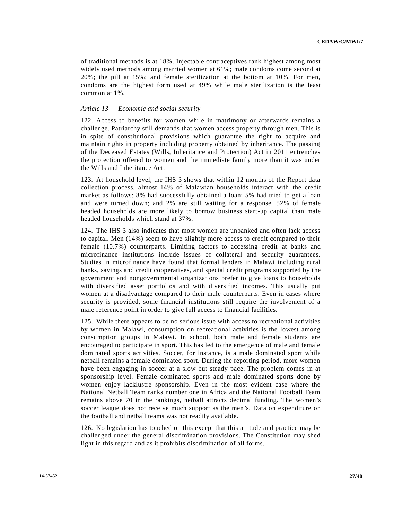of traditional methods is at 18%. Injectable contraceptives rank highest among most widely used methods among married women at 61%; male condoms come second at 20%; the pill at 15%; and female sterilization at the bottom at 10%. For men, condoms are the highest form used at 49% while male sterilization is the least common at 1%.

### *Article 13 — Economic and social security*

122. Access to benefits for women while in matrimony or afterwards remains a challenge. Patriarchy still demands that women access property through men. This is in spite of constitutional provisions which guarantee the right to acquire and maintain rights in property including property obtained by inheritance. The passing of the Deceased Estates (Wills, Inheritance and Protection) Act in 2011 entrenches the protection offered to women and the immediate family more than it was under the Wills and Inheritance Act.

123. At household level, the IHS 3 shows that within 12 months of the Report data collection process, almost 14% of Malawian households interact with the credit market as follows: 8% had successfully obtained a loan; 5% had tried to get a loan and were turned down; and 2% are still waiting for a response. 52% of female headed households are more likely to borrow business start-up capital than male headed households which stand at 37%.

124. The IHS 3 also indicates that most women are unbanked and often lack access to capital. Men (14%) seem to have slightly more access to credit compared to their female (10.7%) counterparts. Limiting factors to accessing credit at banks and microfinance institutions include issues of collateral and security guarantees. Studies in microfinance have found that formal lenders in Malawi including rural banks, savings and credit cooperatives, and special credit programs supported by t he government and nongovernmental organizations prefer to give loans to households with diversified asset portfolios and with diversified incomes. This usually put women at a disadvantage compared to their male counterparts. Even in cases where security is provided, some financial institutions still require the involvement of a male reference point in order to give full access to financial facilities.

125. While there appears to be no serious issue with access to recreational activities by women in Malawi, consumption on recreational activities is the lowest among consumption groups in Malawi. In school, both male and female students are encouraged to participate in sport. This has led to the emergence of male and female dominated sports activities. Soccer, for instance, is a male dominated sport while netball remains a female dominated sport. During the reporting period, more women have been engaging in soccer at a slow but steady pace. The problem comes in at sponsorship level. Female dominated sports and male dominated sports done by women enjoy lacklustre sponsorship. Even in the most evident case where the National Netball Team ranks number one in Africa and the National Football Team remains above 70 in the rankings, netball attracts decimal funding. The women's soccer league does not receive much support as the men's. Data on expenditure on the football and netball teams was not readily available.

126. No legislation has touched on this except that this attitude and practice may be challenged under the general discrimination provisions. The Constitution may shed light in this regard and as it prohibits discrimination of all forms.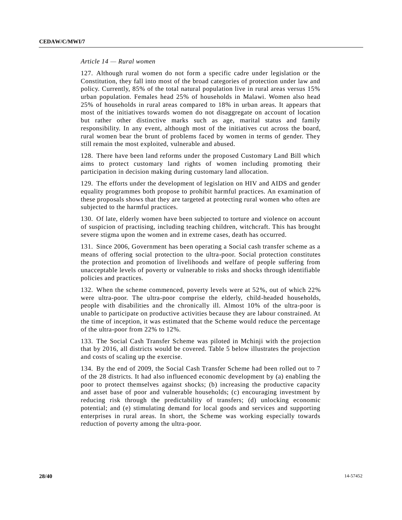### *Article 14 — Rural women*

127. Although rural women do not form a specific cadre under legislation or the Constitution, they fall into most of the broad categories of protection under law and policy. Currently, 85% of the total natural population live in rural areas versus 15% urban population. Females head 25% of households in Malawi. Women also head 25% of households in rural areas compared to 18% in urban areas. It appears that most of the initiatives towards women do not disaggregate on account of location but rather other distinctive marks such as age, marital status and family responsibility. In any event, although most of the initiatives cut across the board, rural women bear the brunt of problems faced by women in terms of gender. They still remain the most exploited, vulnerable and abused.

128. There have been land reforms under the proposed Customary Land Bill which aims to protect customary land rights of women including promoting their participation in decision making during customary land allocation.

129. The efforts under the development of legislation on HIV and AIDS and gender equality programmes both propose to prohibit harmful practices. An examination of these proposals shows that they are targeted at protecting rural women who often are subjected to the harmful practices.

130. Of late, elderly women have been subjected to torture and violence on account of suspicion of practising, including teaching children, witchcraft. This has brought severe stigma upon the women and in extreme cases, death has occurred.

131. Since 2006, Government has been operating a Social cash transfer scheme as a means of offering social protection to the ultra-poor. Social protection constitutes the protection and promotion of livelihoods and welfare of people suffering from unacceptable levels of poverty or vulnerable to risks and shocks through identifiable policies and practices.

132. When the scheme commenced, poverty levels were at 52%, out of which 22% were ultra-poor. The ultra-poor comprise the elderly, child-headed households, people with disabilities and the chronically ill. Almost 10% of the ultra-poor is unable to participate on productive activities because they are labour constrained. At the time of inception, it was estimated that the Scheme would reduce the percentage of the ultra-poor from 22% to 12%.

133. The Social Cash Transfer Scheme was piloted in Mchinji with the projection that by 2016, all districts would be covered. Table 5 below illustrates the projection and costs of scaling up the exercise.

134. By the end of 2009, the Social Cash Transfer Scheme had been rolled out to 7 of the 28 districts. It had also influenced economic development by (a) enabling the poor to protect themselves against shocks; (b) increasing the productive capacity and asset base of poor and vulnerable households; (c) encouraging investment by reducing risk through the predictability of transfers; (d) unlocking economic potential; and (e) stimulating demand for local goods and services and supporting enterprises in rural areas. In short, the Scheme was working especially towards reduction of poverty among the ultra-poor.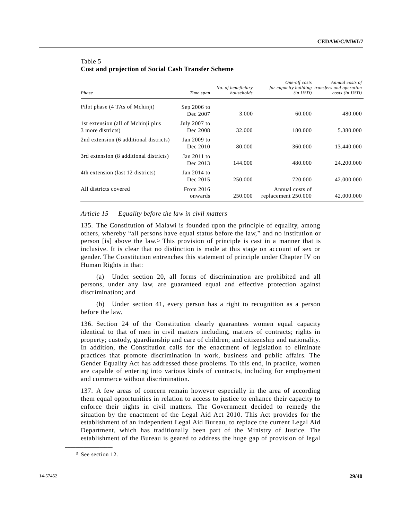| Phase                                                    | Time span                 | No. of beneficiary<br>households | One-off costs<br>$(in \; USD)$         | Annual costs of<br>for capacity building transfers and operation<br>costs (in USD) |
|----------------------------------------------------------|---------------------------|----------------------------------|----------------------------------------|------------------------------------------------------------------------------------|
| Pilot phase (4 TAs of Mchinji)                           | Sep $2006$ to<br>Dec 2007 | 3.000                            | 60.000                                 | 480.000                                                                            |
| 1st extension (all of Mchinji plus)<br>3 more districts) | July 2007 to<br>Dec 2008  | 32.000                           | 180.000                                | 5.380.000                                                                          |
| 2nd extension (6 additional districts)                   | Jan $2009$ to<br>Dec 2010 | 80.000                           | 360,000                                | 13.440.000                                                                         |
| 3rd extension (8 additional districts)                   | Jan 2011 to<br>Dec 2013   | 144.000                          | 480.000                                | 24.200.000                                                                         |
| 4th extension (last 12 districts)                        | Jan 2014 to<br>Dec 2015   | 250,000                          | 720.000                                | 42.000.000                                                                         |
| All districts covered                                    | From 2016<br>onwards      | 250,000                          | Annual costs of<br>replacement 250.000 | 42.000.000                                                                         |

## Table 5 **Cost and projection of Social Cash Transfer Scheme**

### *Article 15 — Equality before the law in civil matters*

135. The Constitution of Malawi is founded upon the principle of equality, among others, whereby "all persons have equal status before the law," and no institution or person [is] above the law.5 This provision of principle is cast in a manner that is inclusive. It is clear that no distinction is made at this stage on account of sex or gender. The Constitution entrenches this statement of principle under Chapter IV on Human Rights in that:

(a) Under section 20, all forms of discrimination are prohibited and all persons, under any law, are guaranteed equal and effective protection against discrimination; and

(b) Under section 41, every person has a right to recognition as a person before the law.

136. Section 24 of the Constitution clearly guarantees women equal capacity identical to that of men in civil matters including, matters of contracts; rights in property; custody, guardianship and care of children; and citizenship and nationality. In addition, the Constitution calls for the enactment of legislation to eliminate practices that promote discrimination in work, business and public affairs. The Gender Equality Act has addressed those problems. To this end, in practice, women are capable of entering into various kinds of contracts, including for employment and commerce without discrimination.

137. A few areas of concern remain however especially in the area of according them equal opportunities in relation to access to justice to enhance their capacity to enforce their rights in civil matters. The Government decided to remedy the situation by the enactment of the Legal Aid Act 2010. This Act provides for the establishment of an independent Legal Aid Bureau, to replace the current Legal Aid Department, which has traditionally been part of the Ministry of Justice. The establishment of the Bureau is geared to address the huge gap of provision of legal

**\_\_\_\_\_\_\_\_\_\_\_\_\_\_\_\_\_\_**

<sup>5</sup> See section 12.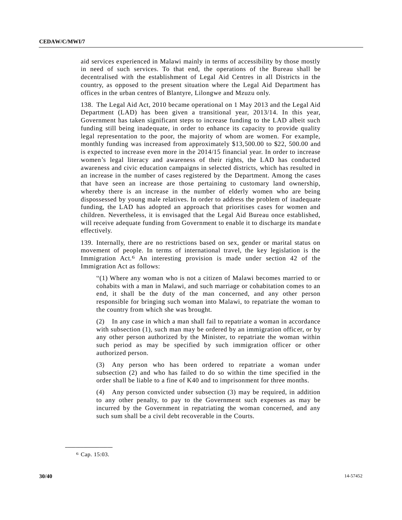aid services experienced in Malawi mainly in terms of accessibility by those mostly in need of such services. To that end, the operations of the Bureau shall be decentralised with the establishment of Legal Aid Centres in all Districts in the country, as opposed to the present situation where the Legal Aid Department has offices in the urban centres of Blantyre, Lilongwe and Mzuzu only.

138. The Legal Aid Act, 2010 became operational on 1 May 2013 and the Legal Aid Department (LAD) has been given a transitional year, 2013/14. In this year, Government has taken significant steps to increase funding to the LAD albeit such funding still being inadequate, in order to enhance its capacity to provide quality legal representation to the poor, the majority of whom are women. For example, monthly funding was increased from approximately \$13,500.00 to \$22, 500.00 and is expected to increase even more in the 2014/15 financial year. In order to increase women's legal literacy and awareness of their rights, the LAD has conducted awareness and civic education campaigns in selected districts, which has resulted in an increase in the number of cases registered by the Department. Among the cases that have seen an increase are those pertaining to customary land ownership, whereby there is an increase in the number of elderly women who are being dispossessed by young male relatives. In order to address the problem of inadequate funding, the LAD has adopted an approach that prioritises cases for women and children. Nevertheless, it is envisaged that the Legal Aid Bureau once established, will receive adequate funding from Government to enable it to discharge its mandate effectively.

139. Internally, there are no restrictions based on sex, gender or marital status on movement of people. In terms of international travel, the key legislation is the Immigration Act.6 An interesting provision is made under section 42 of the Immigration Act as follows:

"(1) Where any woman who is not a citizen of Malawi becomes married to or cohabits with a man in Malawi, and such marriage or cohabitation comes to an end, it shall be the duty of the man concerned, and any other person responsible for bringing such woman into Malawi, to repatriate the woman to the country from which she was brought.

(2) In any case in which a man shall fail to repatriate a woman in accordance with subsection  $(1)$ , such man may be ordered by an immigration officer, or by any other person authorized by the Minister, to repatriate the woman within such period as may be specified by such immigration officer or other authorized person.

(3) Any person who has been ordered to repatriate a woman under subsection (2) and who has failed to do so within the time specified in the order shall be liable to a fine of K40 and to imprisonment for three months.

(4) Any person convicted under subsection (3) may be required, in addition to any other penalty, to pay to the Government such expenses as may be incurred by the Government in repatriating the woman concerned, and any such sum shall be a civil debt recoverable in the Courts.

**\_\_\_\_\_\_\_\_\_\_\_\_\_\_\_\_\_\_** 6 Cap. 15:03.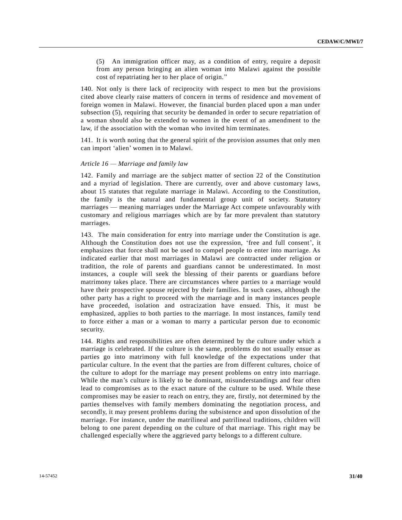(5) An immigration officer may, as a condition of entry, require a deposit from any person bringing an alien woman into Malawi against the possible cost of repatriating her to her place of origin."

140. Not only is there lack of reciprocity with respect to men but the provisions cited above clearly raise matters of concern in terms of residence and movement of foreign women in Malawi. However, the financial burden placed upon a man under subsection (5), requiring that security be demanded in order to secure repatriation of a woman should also be extended to women in the event of an amendment to the law, if the association with the woman who invited him terminates.

141. It is worth noting that the general spirit of the provision assumes that only men can import 'alien' women in to Malawi.

### *Article 16 — Marriage and family law*

142. Family and marriage are the subject matter of section 22 of the Constitution and a myriad of legislation. There are currently, over and above customary laws, about 15 statutes that regulate marriage in Malawi. According to the Constitution, the family is the natural and fundamental group unit of society. Statutory marriages — meaning marriages under the Marriage Act compete unfavourably with customary and religious marriages which are by far more prevalent than statutory marriages.

143. The main consideration for entry into marriage under the Constitution is age. Although the Constitution does not use the expression, 'free and full consent', it emphasizes that force shall not be used to compel people to enter into marriage. As indicated earlier that most marriages in Malawi are contracted under religion or tradition, the role of parents and guardians cannot be underestimated. In most instances, a couple will seek the blessing of their parents or guardians before matrimony takes place. There are circumstances where parties to a marriage would have their prospective spouse rejected by their families. In such cases, although the other party has a right to proceed with the marriage and in many instances people have proceeded, isolation and ostracization have ensued. This, it must be emphasized, applies to both parties to the marriage. In most instances, family tend to force either a man or a woman to marry a particular person due to economic security.

144. Rights and responsibilities are often determined by the culture under which a marriage is celebrated. If the culture is the same, problems do not usually ensue as parties go into matrimony with full knowledge of the expectations under that particular culture. In the event that the parties are from different cultures, choice of the culture to adopt for the marriage may present problems on entry into marriage. While the man's culture is likely to be dominant, misunderstandings and fear often lead to compromises as to the exact nature of the culture to be used. While these compromises may be easier to reach on entry, they are, firstly, not determined by the parties themselves with family members dominating the negotiation process, and secondly, it may present problems during the subsistence and upon dissolution of the marriage. For instance, under the matrilineal and patrilineal traditions, children will belong to one parent depending on the culture of that marriage. This right may be challenged especially where the aggrieved party belongs to a different culture.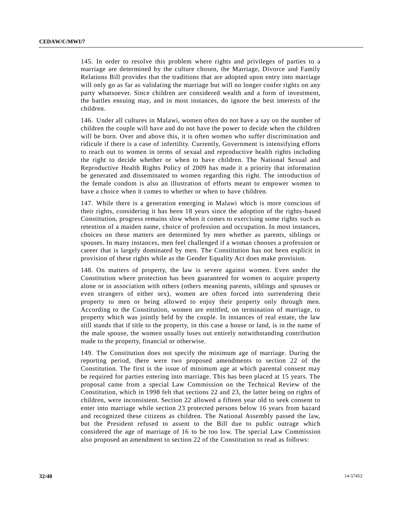145. In order to resolve this problem where rights and privileges of parties to a marriage are determined by the culture chosen, the Marriage, Divorce and Family Relations Bill provides that the traditions that are adopted upon entry into marriage will only go as far as validating the marriage but will no longer confer rights on any party whatsoever. Since children are considered wealth and a form of investment, the battles ensuing may, and in most instances, do ignore the best interests of the children.

146. Under all cultures in Malawi, women often do not have a say on the number of children the couple will have and do not have the power to decide when the children will be born. Over and above this, it is often women who suffer discrimination and ridicule if there is a case of infertility. Currently, Government is intensifying efforts to reach out to women in terms of sexual and reproductive health rights including the right to decide whether or when to have children. The National Sexual and Reproductive Health Rights Policy of 2009 has made it a priority that information be generated and disseminated to women regarding this right. The introduction of the female condom is also an illustration of efforts meant to empower women to have a choice when it comes to whether or when to have children.

147. While there is a generation emerging in Malawi which is more conscious of their rights, considering it has been 18 years since the adoption of the rights-based Constitution, progress remains slow when it comes to exercising some rights such as retention of a maiden name, choice of profession and occupation. In most instances, choices on these matters are determined by men whether as parents, siblings or spouses. In many instances, men feel challenged if a woman chooses a profession or career that is largely dominated by men. The Constitution has not been explicit in provision of these rights while as the Gender Equality Act does make provision.

148. On matters of property, the law is severe against women. Even under the Constitution where protection has been guaranteed for women to acquire property alone or in association with others (others meaning parents, siblings and spouses or even strangers of either sex), women are often forced into surrendering their property to men or being allowed to enjoy their property only through men. According to the Constitution, women are entitled, on termination of marriage, to property which was jointly held by the couple. In instances of real estate, the law still stands that if title to the property, in this case a house or land, is in the name of the male spouse, the women usually loses out entirely notwithstanding contribution made to the property, financial or otherwise.

149. The Constitution does not specify the minimum age of marriage. During the reporting period, there were two proposed amendments to section 22 of the Constitution. The first is the issue of minimum age at which parental consent may be required for parties entering into marriage. This has been placed at 15 years. The proposal came from a special Law Commission on the Technical Review of the Constitution, which in 1998 felt that sections 22 and 23, the latter being on rights of children, were inconsistent. Section 22 allowed a fifteen year old to seek consent to enter into marriage while section 23 protected persons below 16 years from hazard and recognized these citizens as children. The National Assembly passed the law, but the President refused to assent to the Bill due to public outrage which considered the age of marriage of 16 to be too low. The special Law Commission also proposed an amendment to section 22 of the Constitution to read as follows: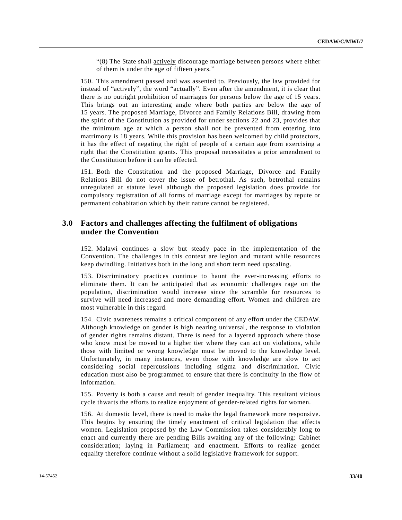"(8) The State shall actively discourage marriage between persons where either of them is under the age of fifteen years."

150. This amendment passed and was assented to. Previously, the law provided for instead of "actively", the word "actually". Even after the amendment, it is clear that there is no outright prohibition of marriages for persons below the age of 15 years. This brings out an interesting angle where both parties are below the age of 15 years. The proposed Marriage, Divorce and Family Relations Bill, drawing from the spirit of the Constitution as provided for under sections 22 and 23, provides that the minimum age at which a person shall not be prevented from entering into matrimony is 18 years. While this provision has been welcomed by child protectors, it has the effect of negating the right of people of a certain age from exercising a right that the Constitution grants. This proposal necessitates a prior amendment to the Constitution before it can be effected.

151. Both the Constitution and the proposed Marriage, Divorce and Family Relations Bill do not cover the issue of betrothal. As such, betrothal remains unregulated at statute level although the proposed legislation does provide for compulsory registration of all forms of marriage except for marriages by repute or permanent cohabitation which by their nature cannot be registered.

# **3.0 Factors and challenges affecting the fulfilment of obligations under the Convention**

152. Malawi continues a slow but steady pace in the implementation of the Convention. The challenges in this context are legion and mutant while resources keep dwindling. Initiatives both in the long and short term need upscaling.

153. Discriminatory practices continue to haunt the ever-increasing efforts to eliminate them. It can be anticipated that as economic challenges rage on the population, discrimination would increase since the scramble for re sources to survive will need increased and more demanding effort. Women and children are most vulnerable in this regard.

154. Civic awareness remains a critical component of any effort under the CEDAW. Although knowledge on gender is high nearing universal, the response to violation of gender rights remains distant. There is need for a layered approach where those who know must be moved to a higher tier where they can act on violations, while those with limited or wrong knowledge must be moved to the knowledge level. Unfortunately, in many instances, even those with knowledge are slow to act considering social repercussions including stigma and discrimination. Civic education must also be programmed to ensure that there is continuity in the flow of information.

155. Poverty is both a cause and result of gender inequality. This resultant vicious cycle thwarts the efforts to realize enjoyment of gender-related rights for women.

156. At domestic level, there is need to make the legal framework more responsive. This begins by ensuring the timely enactment of critical legislation that affects women. Legislation proposed by the Law Commission takes considerably long to enact and currently there are pending Bills awaiting any of the following: Cabinet consideration; laying in Parliament; and enactment. Efforts to realize gender equality therefore continue without a solid legislative framework for support.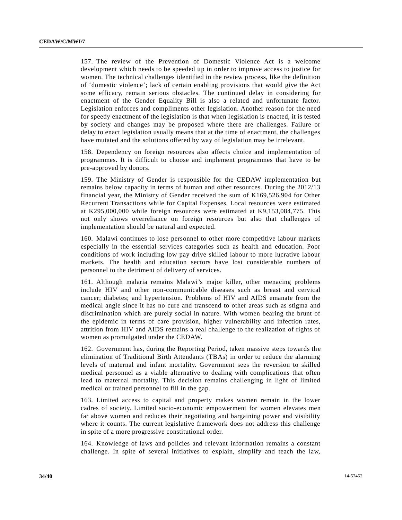157. The review of the Prevention of Domestic Violence Act is a welcome development which needs to be speeded up in order to improve access to justice for women. The technical challenges identified in the review process, like the definition of 'domestic violence'; lack of certain enabling provisions that would give the Act some efficacy, remain serious obstacles. The continued delay in considering for enactment of the Gender Equality Bill is also a related and unfortunate factor. Legislation enforces and compliments other legislation. Another reason for the need for speedy enactment of the legislation is that when legislation is enacted, it is tested by society and changes may be proposed where there are challenges. Failure or delay to enact legislation usually means that at the time of enactment, the challenges have mutated and the solutions offered by way of legislation may be irrelevant.

158. Dependency on foreign resources also affects choice and implementation of programmes. It is difficult to choose and implement programmes that have to be pre-approved by donors.

159. The Ministry of Gender is responsible for the CEDAW implementation but remains below capacity in terms of human and other resources. During the 2012/13 financial year, the Ministry of Gender received the sum of K169,526,904 for Other Recurrent Transactions while for Capital Expenses, Local resources were estimated at K295,000,000 while foreign resources were estimated at K9,153,084,775. This not only shows overreliance on foreign resources but also that challenges of implementation should be natural and expected.

160. Malawi continues to lose personnel to other more competitive labour markets especially in the essential services categories such as health and education. Poor conditions of work including low pay drive skilled labour to more lucrative labour markets. The health and education sectors have lost considerable numbers of personnel to the detriment of delivery of services.

161. Although malaria remains Malawi's major killer, other menacing problems include HIV and other non-communicable diseases such as breast and cervical cancer; diabetes; and hypertension. Problems of HIV and AIDS emanate from the medical angle since it has no cure and transcend to other areas such as stigma and discrimination which are purely social in nature. With women bearing the brunt of the epidemic in terms of care provision, higher vulnerability and infection rates, attrition from HIV and AIDS remains a real challenge to the realization of rights of women as promulgated under the CEDAW.

162. Government has, during the Reporting Period, taken massive steps towards the elimination of Traditional Birth Attendants (TBAs) in order to reduce the alarming levels of maternal and infant mortality. Government sees the reversion to skilled medical personnel as a viable alternative to dealing with complications that often lead to maternal mortality. This decision remains challenging in light of limited medical or trained personnel to fill in the gap.

163. Limited access to capital and property makes women remain in the lower cadres of society. Limited socio-economic empowerment for women elevates men far above women and reduces their negotiating and bargaining power and visibility where it counts. The current legislative framework does not address this challenge in spite of a more progressive constitutional order.

164. Knowledge of laws and policies and relevant information remains a constant challenge. In spite of several initiatives to explain, simplify and teach the law,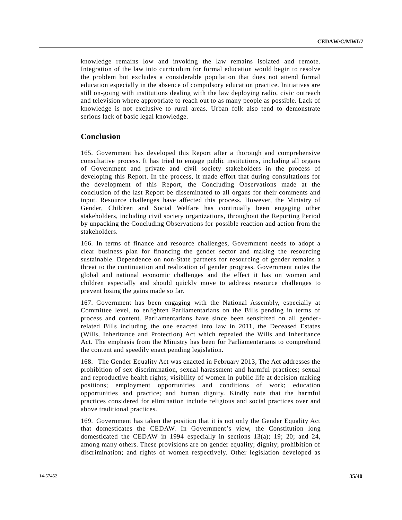knowledge remains low and invoking the law remains isolated and remote. Integration of the law into curriculum for formal education would begin to resolve the problem but excludes a considerable population that does not attend formal education especially in the absence of compulsory education practice. Initiatives are still on-going with institutions dealing with the law deploying radio, civic outreach and television where appropriate to reach out to as many people as possible. Lack of knowledge is not exclusive to rural areas. Urban folk also tend to demonstrate serious lack of basic legal knowledge.

# **Conclusion**

165. Government has developed this Report after a thorough and comprehensive consultative process. It has tried to engage public institutions, including all organs of Government and private and civil society stakeholders in the process of developing this Report. In the process, it made effort that during consultations for the development of this Report, the Concluding Observations made at the conclusion of the last Report be disseminated to all organs for their comments and input. Resource challenges have affected this process. However, the Ministry of Gender, Children and Social Welfare has continually been engaging other stakeholders, including civil society organizations, throughout the Reporting Period by unpacking the Concluding Observations for possible reaction and action from the stakeholders.

166. In terms of finance and resource challenges, Government needs to adopt a clear business plan for financing the gender sector and making the resourcing sustainable. Dependence on non-State partners for resourcing of gender remains a threat to the continuation and realization of gender progress. Government notes the global and national economic challenges and the effect it has on women and children especially and should quickly move to address resource challenges to prevent losing the gains made so far.

167. Government has been engaging with the National Assembly, especially at Committee level, to enlighten Parliamentarians on the Bills pending in terms of process and content. Parliamentarians have since been sensitized on all genderrelated Bills including the one enacted into law in 2011, the Deceased Estates (Wills, Inheritance and Protection) Act which repealed the Wills and Inheritance Act. The emphasis from the Ministry has been for Parliamentarians to comprehend the content and speedily enact pending legislation.

168. The Gender Equality Act was enacted in February 2013, The Act addresses the prohibition of sex discrimination, sexual harassment and harmful practices; sexual and reproductive health rights; visibility of women in public life at decision making positions; employment opportunities and conditions of work; education opportunities and practice; and human dignity. Kindly note that the harmful practices considered for elimination include religious and social practices over and above traditional practices.

169. Government has taken the position that it is not only the Gender Equality Act that domesticates the CEDAW. In Government's view, the Constitution long domesticated the CEDAW in 1994 especially in sections 13(a); 19; 20; and 24, among many others. These provisions are on gender equality; dignity; prohibition of discrimination; and rights of women respectively. Other legislation developed as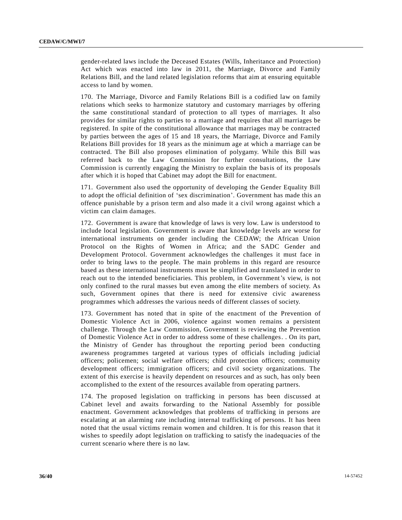gender-related laws include the Deceased Estates (Wills, Inheritance and Protection) Act which was enacted into law in 2011, the Marriage, Divorce and Family Relations Bill, and the land related legislation reforms that aim at ensuring equitable access to land by women.

170. The Marriage, Divorce and Family Relations Bill is a codified law on family relations which seeks to harmonize statutory and customary marriages by offering the same constitutional standard of protection to all types of marriages. It also provides for similar rights to parties to a marriage and requires that all marriages be registered. In spite of the constitutional allowance that marriages may be contracted by parties between the ages of 15 and 18 years, the Marriage, Divorce and Family Relations Bill provides for 18 years as the minimum age at which a marriage can be contracted. The Bill also proposes elimination of polygamy. While this Bill was referred back to the Law Commission for further consultations, the Law Commission is currently engaging the Ministry to explain the basis of its proposals after which it is hoped that Cabinet may adopt the Bill for enactment.

171. Government also used the opportunity of developing the Gender Equality Bill to adopt the official definition of 'sex discrimination'. Government has made this an offence punishable by a prison term and also made it a civil wrong against which a victim can claim damages.

172. Government is aware that knowledge of laws is very low. Law is understood to include local legislation. Government is aware that knowledge levels are worse for international instruments on gender including the CEDAW; the African Union Protocol on the Rights of Women in Africa; and the SADC Gender and Development Protocol. Government acknowledges the challenges it must face in order to bring laws to the people. The main problems in this regard are resource based as these international instruments must be simplified and translated in order to reach out to the intended beneficiaries. This problem, in Government's view, is not only confined to the rural masses but even among the elite members of society. As such, Government opines that there is need for extensive civic awareness programmes which addresses the various needs of different classes of society.

173. Government has noted that in spite of the enactment of the Prevention of Domestic Violence Act in 2006, violence against women remains a persistent challenge. Through the Law Commission, Government is reviewing the Prevention of Domestic Violence Act in order to address some of these challenges. . On its part, the Ministry of Gender has throughout the reporting period been conducting awareness programmes targeted at various types of officials including judicial officers; policemen; social welfare officers; child protection officers; community development officers; immigration officers; and civil society organizations. The extent of this exercise is heavily dependent on resources and as such, has only been accomplished to the extent of the resources available from operating partners.

174. The proposed legislation on trafficking in persons has been discussed at Cabinet level and awaits forwarding to the National Assembly for possible enactment. Government acknowledges that problems of trafficking in persons are escalating at an alarming rate including internal trafficking of persons. It has been noted that the usual victims remain women and children. It is for this reason that it wishes to speedily adopt legislation on trafficking to satisfy the inadequacies of the current scenario where there is no law.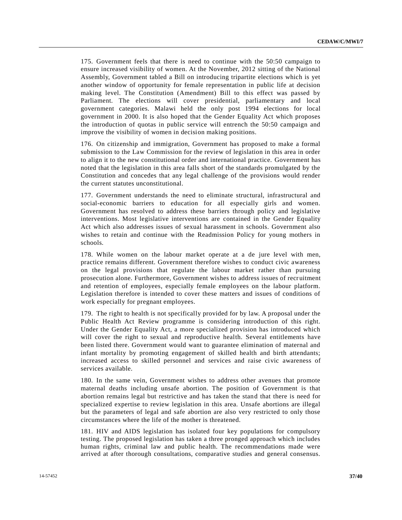175. Government feels that there is need to continue with the 50:50 campaign to ensure increased visibility of women. At the November, 2012 sitting of the National Assembly, Government tabled a Bill on introducing tripartite elections which is yet another window of opportunity for female representation in public life at decision making level. The Constitution (Amendment) Bill to this effect was passed by Parliament. The elections will cover presidential, parliamentary and local government categories. Malawi held the only post 1994 elections for local government in 2000. It is also hoped that the Gender Equality Act which proposes the introduction of quotas in public service will entrench the 50:50 campaign and improve the visibility of women in decision making positions.

176. On citizenship and immigration, Government has proposed to make a formal submission to the Law Commission for the review of legislation in this area in order to align it to the new constitutional order and international practice. Government has noted that the legislation in this area falls short of the standards promulgated by the Constitution and concedes that any legal challenge of the provisions would render the current statutes unconstitutional.

177. Government understands the need to eliminate structural, infrastructural and social-economic barriers to education for all especially girls and women. Government has resolved to address these barriers through policy and legislative interventions. Most legislative interventions are contained in the Gender Equality Act which also addresses issues of sexual harassment in schools. Government also wishes to retain and continue with the Readmission Policy for young mothers in schools.

178. While women on the labour market operate at a de jure level with men, practice remains different. Government therefore wishes to conduct civic awareness on the legal provisions that regulate the labour market rather than pursuing prosecution alone. Furthermore, Government wishes to address issues of recruitment and retention of employees, especially female employees on the labour platform. Legislation therefore is intended to cover these matters and issues of conditions of work especially for pregnant employees.

179. The right to health is not specifically provided for by law. A proposal under the Public Health Act Review programme is considering introduction of this right. Under the Gender Equality Act, a more specialized provision has introduced which will cover the right to sexual and reproductive health. Several entitlements have been listed there. Government would want to guarantee elimination of maternal and infant mortality by promoting engagement of skilled health and birth attendants; increased access to skilled personnel and services and raise civic awareness of services available.

180. In the same vein, Government wishes to address other avenues that promote maternal deaths including unsafe abortion. The position of Government is that abortion remains legal but restrictive and has taken the stand that there is need for specialized expertise to review legislation in this area. Unsafe abortions are illegal but the parameters of legal and safe abortion are also very restricted to only those circumstances where the life of the mother is threatened.

181. HIV and AIDS legislation has isolated four key populations for compulsory testing. The proposed legislation has taken a three pronged approach which includes human rights, criminal law and public health. The recommendations made were arrived at after thorough consultations, comparative studies and general consensus.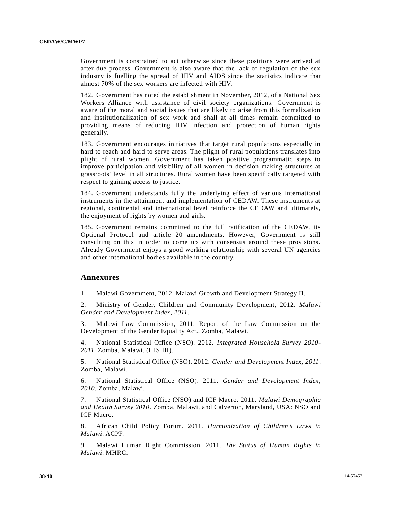Government is constrained to act otherwise since these positions were arrived at after due process. Government is also aware that the lack of regulation of the sex industry is fuelling the spread of HIV and AIDS since the statistics indicate that almost 70% of the sex workers are infected with HIV.

182. Government has noted the establishment in November, 2012, of a National Sex Workers Alliance with assistance of civil society organizations. Government is aware of the moral and social issues that are likely to arise from this formalization and institutionalization of sex work and shall at all times remain committed to providing means of reducing HIV infection and protection of human rights generally.

183. Government encourages initiatives that target rural populations especially in hard to reach and hard to serve areas. The plight of rural populations translates into plight of rural women. Government has taken positive programmatic steps to improve participation and visibility of all women in decision making structures at grassroots' level in all structures. Rural women have been specifically targeted with respect to gaining access to justice.

184. Government understands fully the underlying effect of various international instruments in the attainment and implementation of CEDAW. These instruments at regional, continental and international level reinforce the CEDAW and ultimately, the enjoyment of rights by women and girls.

185. Government remains committed to the full ratification of the CEDAW, its Optional Protocol and article 20 amendments. However, Government is still consulting on this in order to come up with consensus around these provisions. Already Government enjoys a good working relationship with several UN agencies and other international bodies available in the country.

## **Annexures**

1. Malawi Government, 2012. Malawi Growth and Development Strategy II.

2. Ministry of Gender, Children and Community Development, 2012. *Malawi Gender and Development Index, 2011*.

3. Malawi Law Commission, 2011. Report of the Law Commission on the Development of the Gender Equality Act., Zomba, Malawi.

4. National Statistical Office (NSO). 2012. *Integrated Household Survey 2010- 2011*. Zomba, Malawi. (IHS III).

5. National Statistical Office (NSO). 2012. *Gender and Development Index, 2011*. Zomba, Malawi.

6. National Statistical Office (NSO). 2011*. Gender and Development Index, 2010*. Zomba, Malawi.

7. National Statistical Office (NSO) and ICF Macro. 2011*. Malawi Demographic and Health Survey 2010*. Zomba, Malawi, and Calverton, Maryland, USA: NSO and ICF Macro.

8. African Child Policy Forum. 2011. *Harmonization of Children's Laws in Malawi*. ACPF.

9. Malawi Human Right Commission. 2011. *The Status of Human Rights in Malawi*. MHRC.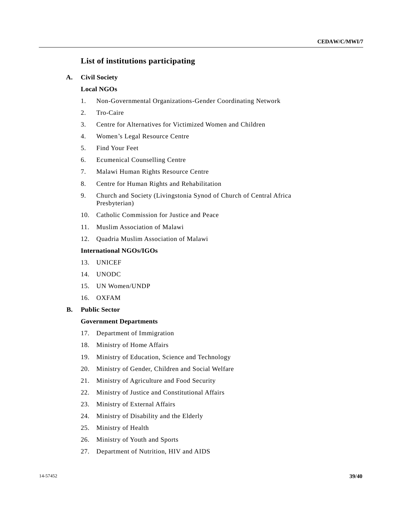# **List of institutions participating**

### **A. Civil Society**

### **Local NGOs**

- 1. Non-Governmental Organizations-Gender Coordinating Network
- 2. Tro-Caire
- 3. Centre for Alternatives for Victimized Women and Children
- 4. Women's Legal Resource Centre
- 5. Find Your Feet
- 6. Ecumenical Counselling Centre
- 7. Malawi Human Rights Resource Centre
- 8. Centre for Human Rights and Rehabilitation
- 9. Church and Society (Livingstonia Synod of Church of Central Africa Presbyterian)
- 10. Catholic Commission for Justice and Peace
- 11. Muslim Association of Malawi
- 12. Quadria Muslim Association of Malawi

## **International NGOs/IGOs**

- 13. UNICEF
- 14. UNODC
- 15. UN Women/UNDP
- 16. OXFAM
- **B. Public Sector**

## **Government Departments**

- 17. Department of Immigration
- 18. Ministry of Home Affairs
- 19. Ministry of Education, Science and Technology
- 20. Ministry of Gender, Children and Social Welfare
- 21. Ministry of Agriculture and Food Security
- 22. Ministry of Justice and Constitutional Affairs
- 23. Ministry of External Affairs
- 24. Ministry of Disability and the Elderly
- 25. Ministry of Health
- 26. Ministry of Youth and Sports
- 27. Department of Nutrition, HIV and AIDS